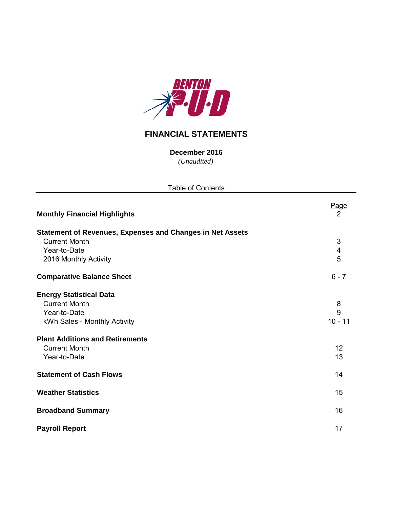

# **FINANCIAL STATEMENTS**

*(Unaudited)* **December 2016**

| <b>Table of Contents</b>                                                                                                                                                                 |                                   |
|------------------------------------------------------------------------------------------------------------------------------------------------------------------------------------------|-----------------------------------|
| <b>Monthly Financial Highlights</b>                                                                                                                                                      | Page<br>2                         |
| <b>Statement of Revenues, Expenses and Changes in Net Assets</b><br><b>Current Month</b><br>Year-to-Date<br>2016 Monthly Activity                                                        | 3<br>$\overline{\mathbf{4}}$<br>5 |
| <b>Comparative Balance Sheet</b>                                                                                                                                                         | $6 - 7$                           |
| <b>Energy Statistical Data</b><br><b>Current Month</b><br>Year-to-Date<br>kWh Sales - Monthly Activity<br><b>Plant Additions and Retirements</b><br><b>Current Month</b><br>Year-to-Date | 8<br>9<br>$10 - 11$<br>12<br>13   |
| <b>Statement of Cash Flows</b>                                                                                                                                                           | 14                                |
| <b>Weather Statistics</b>                                                                                                                                                                | 15                                |
| <b>Broadband Summary</b>                                                                                                                                                                 | 16                                |
| <b>Payroll Report</b>                                                                                                                                                                    | 17                                |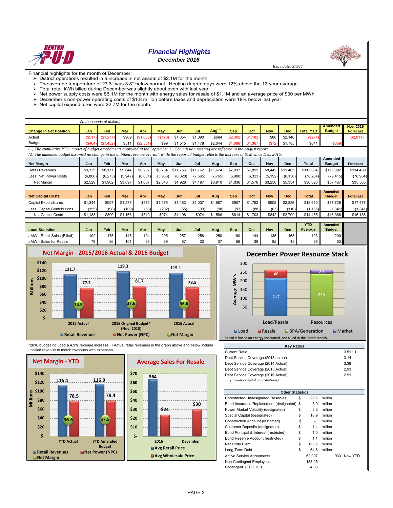

### *Financial Highlights December 2016*

 *Issue date: 3/6/17*

Financial highlights for the month of December:

District operations resulted in a increase in net assets of \$2.1M for the month.<br>  $\triangleright$  The average temperature of 27.3° was 3.8° below normal. Heating degree da The average temperature of 27.3° was 3.8° below normal. Heating degree days were 12% above the 13 year average.

Total retail kWh billed during December was slightly about even with last year.

- $\triangleright$  Net power supply costs were \$6.1M for the month with energy sales for resale of \$1.1M and an average price of \$30 per MWh.
- December's non-power operating costs of \$1.8 million before taxes and depreciation were 18% below last year.
- $\triangleright$  Net capital expenditures were \$2.7M for the month.

|                                                                                                                                        |        | (in thousands of dollars) |       |           |        |         |         |                          |            |           |            |            |                  |               |                 |
|----------------------------------------------------------------------------------------------------------------------------------------|--------|---------------------------|-------|-----------|--------|---------|---------|--------------------------|------------|-----------|------------|------------|------------------|---------------|-----------------|
|                                                                                                                                        |        |                           |       |           |        |         |         |                          |            |           |            |            |                  | Amended       | Nov. 2016       |
| <b>Change in Net Position</b>                                                                                                          | Jan    | Feb                       | Mar   | Apr       | May    | Jun     | Jul     | (1)<br>Aug <sup>\'</sup> | <b>Sep</b> | Oct       | <b>Nov</b> | <b>Dec</b> | <b>Total YTD</b> | <b>Budget</b> | <b>Forecast</b> |
| Actual                                                                                                                                 | (S517) | (S1.277)                  | \$969 | (S1,658)  | (S170) | \$1.854 | \$1.090 | \$694                    | (S2.302)   | (S1, 182) | \$88       | \$2.140    | (\$271           |               | (S2,011)        |
| <b>Budget</b>                                                                                                                          | (S464) | (S1.452)                  | \$511 | (S2, 381) | \$99   | \$1.545 | \$1.478 | \$2.044                  | (S1.086)   | (S1.367)  | (S72)      | \$1.785    | \$641            | $($ \$359)    |                 |
| (1) The cumulative YTD impact of budget amendments approved at the September 13 Commission meeting are reflected in the August report. |        |                           |       |           |        |         |         |                          |            |           |            |            |                  |               |                 |

*(2) The amended budget assumed no change in the unbilled revenue accrual, while the reported budget reflects the increase of \$1M since Dec. 2015.*

|                             |         |          |            |         |         |          |          |          |            |          |            |            |              | Amended       |                 |
|-----------------------------|---------|----------|------------|---------|---------|----------|----------|----------|------------|----------|------------|------------|--------------|---------------|-----------------|
| <b>Net Margin</b>           | Jan     | Feb      | Mar        | Apr     | May     | Jun      | Jul      | Aug      | Sep        | Oct      | Nov        | <b>Dec</b> | <b>Total</b> | <b>Budget</b> | <b>Forecast</b> |
| <b>Retail Revenues</b>      | \$9,335 | \$8,177  | \$9,644    | \$8,207 | \$8,784 | \$11,756 | \$11,762 | \$11,674 | \$7,937    | \$7.899  | \$8,442    | \$11,465   | \$115,084    | \$116,882     | \$114,489       |
| Less: Net Power Costs       | (6,806) | (6, 275) | (5,947)    | (6,601) | (5,936) | (6,828)  | (7, 565) | (7,765)  | (6,900)    | (6, 323) | (5, 192)   | (6.130)    | (78, 264)    | (79, 415)     | (78, 984)       |
| Net Margin                  | \$2,529 | \$1,902  | \$3,697    | \$1,607 | \$2,848 | \$4,928  | \$4,197  | \$3,910  | \$1,036    | \$1,576  | \$3,250    | \$5,334    | \$36,820     | \$37,467      | \$35,505        |
|                             |         |          |            |         |         |          |          |          |            |          |            |            |              |               |                 |
|                             |         |          |            |         |         |          |          |          |            |          |            |            |              |               |                 |
|                             |         |          |            |         |         |          |          |          |            |          |            |            |              | Amended       |                 |
| <b>Net Capital Costs</b>    | Jan     | Feb      | <b>Mar</b> | Apr     | May     | Jun      | Jul      | Aug      | <b>Sep</b> | Oct      | <b>Nov</b> | <b>Dec</b> | <b>Total</b> | <b>Budget</b> | <b>Forecast</b> |
| <b>Capital Expenditures</b> | \$1,344 | \$997    | \$1.275    | \$572   | \$1,175 | \$1.163  | \$1,007  | \$1,687  | \$907      | \$1.792  | \$905      | \$2.826    | \$15,650     | \$17,726      | \$17,477        |
| Less: Capital Contributions | (155)   | (98)     | (109)      | (53)    | (202)   | (55)     | (33)     | (98)     | (93)       | (88)     | (63)       | (116)      | (1.165)      | (1, 341)      | (1, 341)        |
| Net Capital Costs           | \$1,188 | \$899    | \$1,166    | \$519   | \$974   | \$1,108  | \$974    | \$1,588  | \$814      | \$1,703  | \$842      | \$2,709    | \$14,485     | \$16,386      | \$16,136        |

|                                |     |     |     |     |     |          |     |     |     |     |          |     | YTD     | Amended       |
|--------------------------------|-----|-----|-----|-----|-----|----------|-----|-----|-----|-----|----------|-----|---------|---------------|
| <b>Load Statistics</b>         | Jan | Feb | Mar | Apr | May | Jun      | Jul | Aua | Sep | Oct | Nov      | Dec | Average | <b>Budget</b> |
| - Retail Sales (Billed)<br>aMW | 192 | 175 | 145 | 194 | 205 | 257      | 258 | 250 | 190 | 144 | 135      | 168 | 193     | 200           |
| Sales for Resale<br>aMW        | 70. | 86  | 101 | OF. | 69  | -7<br>57 | ےت  |     |     |     | 95<br>υυ | 48  | 66 I    | 53            |



## **December Power Resource Stack**



\*2016 budget included a 4.9% revenue increase. +Actual retail revenues in the graph above and below include unbilled revenue to match revenues with expenses.



| <b>Key Ratios</b>                   |          |
|-------------------------------------|----------|
| Current Ratio                       | 3.51 : 1 |
| Debt Service Coverage (2013 actual) | 3.14     |
| Debt Service Coverage (2014 Actual) | 3.38     |
| Debt Service Coverage (2015 Actual) | 2.93     |
| Debt Service Coverage (2016 Actual) | 2.91     |
| (includes capital contributions)    |          |

| <b>Other Statistics</b>                    |             |         |     |         |
|--------------------------------------------|-------------|---------|-----|---------|
| Unrestricted Undesignated Reserves         | \$<br>28.6  | million |     |         |
| Bond Insurance Replacement (designated) \$ | 3.0         | million |     |         |
| Power Market Volatility (designated)       | \$<br>3.3   | million |     |         |
| Special Capital (designated)               | \$<br>16.9  | million |     |         |
| Construction Account (restricted)          | \$<br>٠     | million |     |         |
| Customer Deposits (designated)             | \$<br>1.4   | million |     |         |
| Bond Principal & Interest (restricted)     | \$<br>1.0   | million |     |         |
| Bond Reserve Account (restricted)          | \$<br>1.1   | million |     |         |
| <b>Net Utility Plant</b>                   | \$<br>123.5 | million |     |         |
| Long-Term Debt                             | \$<br>64.8  | million |     |         |
| <b>Active Service Agreements</b>           | 52.097      |         | 933 | New YTD |
| Non-Contingent Employees                   | 153.25      |         |     |         |
| Contingent YTD FTE's                       | 4.03        |         |     |         |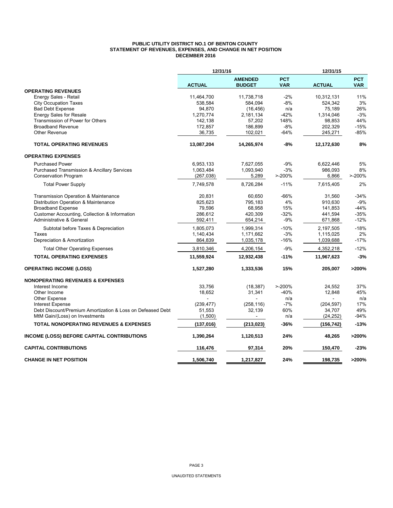#### **PUBLIC UTILITY DISTRICT NO.1 OF BENTON COUNTY STATEMENT OF REVENUES, EXPENSES, AND CHANGE IN NET POSITION DECEMBER 2016**

|                                                            | 12/31/16      |                                 |                          | 12/31/15      |                          |
|------------------------------------------------------------|---------------|---------------------------------|--------------------------|---------------|--------------------------|
|                                                            | <b>ACTUAL</b> | <b>AMENDED</b><br><b>BUDGET</b> | <b>PCT</b><br><b>VAR</b> | <b>ACTUAL</b> | <b>PCT</b><br><b>VAR</b> |
| <b>OPERATING REVENUES</b>                                  |               |                                 |                          |               |                          |
| Energy Sales - Retail                                      | 11,464,700    | 11,738,718                      | $-2%$                    | 10,312,131    | 11%                      |
| <b>City Occupation Taxes</b>                               | 538,584       | 584,094                         | $-8%$                    | 524,342       | 3%                       |
| <b>Bad Debt Expense</b>                                    | 94,870        | (16, 456)                       | n/a                      | 75,189        | 26%                      |
| <b>Energy Sales for Resale</b>                             | 1,270,774     | 2,181,134                       | $-42%$                   | 1,314,046     | $-3%$                    |
| Transmission of Power for Others                           | 142,138       | 57,202                          | 148%                     | 98,853        | 44%                      |
| <b>Broadband Revenue</b>                                   | 172,857       | 186,899                         | $-8%$                    | 202,329       | $-15%$                   |
| <b>Other Revenue</b>                                       | 36,735        | 102,021                         | $-64%$                   | 245,271       | $-85%$                   |
| <b>TOTAL OPERATING REVENUES</b>                            | 13,087,204    | 14,265,974                      | $-8%$                    | 12,172,630    | 8%                       |
| <b>OPERATING EXPENSES</b>                                  |               |                                 |                          |               |                          |
| <b>Purchased Power</b>                                     | 6,953,133     | 7,627,055                       | $-9%$                    | 6,622,446     | 5%                       |
| <b>Purchased Transmission &amp; Ancillary Services</b>     | 1,063,484     | 1,093,940                       | $-3%$                    | 986,093       | 8%                       |
| <b>Conservation Program</b>                                | (267, 038)    | 5,289                           | $> -200%$                | 6,866         | $> -200%$                |
| <b>Total Power Supply</b>                                  | 7,749,578     | 8,726,284                       | $-11%$                   | 7,615,405     | 2%                       |
| <b>Transmission Operation &amp; Maintenance</b>            | 20,831        | 60,650                          | $-66%$                   | 31,560        | $-34%$                   |
| Distribution Operation & Maintenance                       | 825,623       | 795,183                         | 4%                       | 910,630       | $-9%$                    |
| <b>Broadband Expense</b>                                   | 79.596        | 68.958                          | 15%                      | 141.853       | $-44%$                   |
| Customer Accounting, Collection & Information              | 286,612       | 420,309                         | $-32%$                   | 441,594       | $-35%$                   |
| Administrative & General                                   | 592,411       | 654,214                         | $-9%$                    | 671,868       | $-12%$                   |
| Subtotal before Taxes & Depreciation                       | 1,805,073     | 1,999,314                       | $-10%$                   | 2,197,505     | $-18%$                   |
| Taxes                                                      | 1,140,434     | 1,171,662                       | $-3%$                    | 1,115,025     | 2%                       |
| Depreciation & Amortization                                | 864,839       | 1,035,178                       | $-16%$                   | 1,039,688     | $-17%$                   |
| <b>Total Other Operating Expenses</b>                      | 3,810,346     | 4,206,154                       | $-9%$                    | 4,352,218     | $-12%$                   |
| <b>TOTAL OPERATING EXPENSES</b>                            | 11,559,924    | 12,932,438                      | $-11%$                   | 11,967,623    | $-3%$                    |
| <b>OPERATING INCOME (LOSS)</b>                             | 1,527,280     | 1,333,536                       | 15%                      | 205,007       | >200%                    |
| <b>NONOPERATING REVENUES &amp; EXPENSES</b>                |               |                                 |                          |               |                          |
| Interest Income                                            | 33,756        | (18, 387)                       | $> -200%$                | 24,552        | 37%                      |
| Other Income                                               | 18,652        | 31,341                          | -40%                     | 12,848        | 45%                      |
| Other Expense                                              |               |                                 | n/a                      |               | n/a                      |
| <b>Interest Expense</b>                                    | (239, 477)    | (258, 116)                      | $-7%$                    | (204, 597)    | 17%                      |
| Debt Discount/Premium Amortization & Loss on Defeased Debt | 51,553        | 32,139                          | 60%                      | 34,707        | 49%                      |
| MtM Gain/(Loss) on Investments                             | (1,500)       | $\overline{a}$                  | n/a                      | (24, 252)     | $-94%$                   |
| <b>TOTAL NONOPERATING REVENUES &amp; EXPENSES</b>          | (137, 016)    | (213, 023)                      | -36%                     | (156,742)     | $-13%$                   |
| INCOME (LOSS) BEFORE CAPITAL CONTRIBUTIONS                 | 1,390,264     | 1,120,513                       | 24%                      | 48,265        | >200%                    |
| <b>CAPITAL CONTRIBUTIONS</b>                               | 116,476       | 97,314                          | 20%                      | 150,470       | $-23%$                   |
| <b>CHANGE IN NET POSITION</b>                              | 1,506,740     | 1.217.827                       | 24%                      | 198.735       | >200%                    |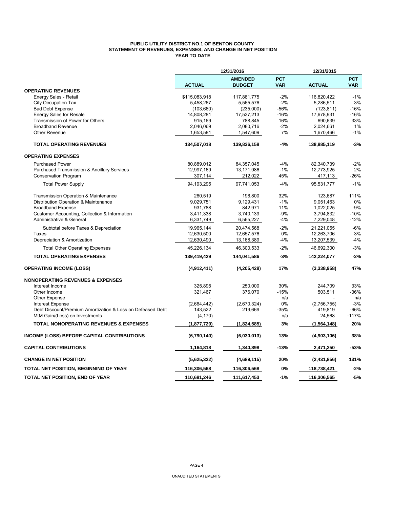## **PUBLIC UTILITY DISTRICT NO.1 OF BENTON COUNTY STATEMENT OF REVENUES, EXPENSES, AND CHANGE IN NET POSITION YEAR TO DATE**

|                                                            |               | 12/31/2016                      |                          | 12/31/2015    |                          |
|------------------------------------------------------------|---------------|---------------------------------|--------------------------|---------------|--------------------------|
|                                                            | <b>ACTUAL</b> | <b>AMENDED</b><br><b>BUDGET</b> | <b>PCT</b><br><b>VAR</b> | <b>ACTUAL</b> | <b>PCT</b><br><b>VAR</b> |
| <b>OPERATING REVENUES</b>                                  |               |                                 |                          |               |                          |
| Energy Sales - Retail                                      | \$115,083,918 | 117,881,775                     | $-2%$                    | 116,820,422   | $-1%$                    |
| <b>City Occupation Tax</b>                                 | 5,458,267     | 5,565,576                       | $-2%$                    | 5,286,511     | 3%                       |
| <b>Bad Debt Expense</b>                                    | (103, 660)    | (235,000)                       | -56%                     | (123, 811)    | $-16%$                   |
| <b>Energy Sales for Resale</b>                             | 14,808,281    | 17,537,213                      | $-16%$                   | 17,678,931    | $-16%$                   |
| Transmission of Power for Others                           | 915,169       | 788,845                         | 16%                      | 690,639       | 33%                      |
| <b>Broadband Revenue</b>                                   | 2,046,069     | 2,080,716                       | $-2%$                    | 2,024,661     | 1%                       |
| <b>Other Revenue</b>                                       | 1,653,581     | 1,547,609                       | 7%                       | 1,670,466     | $-1%$                    |
| <b>TOTAL OPERATING REVENUES</b>                            | 134,507,018   | 139,836,158                     | $-4%$                    | 138,885,119   | $-3%$                    |
| <b>OPERATING EXPENSES</b>                                  |               |                                 |                          |               |                          |
| <b>Purchased Power</b>                                     | 80,889,012    | 84, 357, 045                    | $-4%$                    | 82,340,739    | $-2%$                    |
| <b>Purchased Transmission &amp; Ancillary Services</b>     | 12,997,169    | 13,171,986                      | $-1%$                    | 12,773,925    | 2%                       |
| <b>Conservation Program</b>                                | 307,114       | 212,022                         | 45%                      | 417,113       | $-26%$                   |
| <b>Total Power Supply</b>                                  | 94,193,295    | 97,741,053                      | $-4%$                    | 95,531,777    | $-1%$                    |
| Transmission Operation & Maintenance                       | 260,519       | 196,800                         | 32%                      | 123,687       | 111%                     |
| Distribution Operation & Maintenance                       | 9,029,751     | 9,129,431                       | $-1%$                    | 9,051,463     | 0%                       |
| <b>Broadband Expense</b>                                   | 931,788       | 842,971                         | 11%                      | 1,022,025     | $-9%$                    |
| <b>Customer Accounting, Collection &amp; Information</b>   | 3,411,338     | 3,740,139                       | $-9%$                    | 3,794,832     | $-10%$                   |
| Administrative & General                                   | 6,331,749     | 6,565,227                       | $-4%$                    | 7,229,048     | $-12%$                   |
| Subtotal before Taxes & Depreciation                       | 19,965,144    | 20,474,568                      | $-2%$                    | 21,221,055    | $-6%$                    |
| Taxes                                                      | 12,630,500    | 12,657,576                      | 0%                       | 12,263,706    | 3%                       |
| Depreciation & Amortization                                | 12,630,490    | 13,168,389                      | $-4%$                    | 13,207,539    | $-4%$                    |
| <b>Total Other Operating Expenses</b>                      | 45,226,134    | 46,300,533                      | $-2%$                    | 46,692,300    | $-3%$                    |
| <b>TOTAL OPERATING EXPENSES</b>                            | 139,419,429   | 144,041,586                     | $-3%$                    | 142,224,077   | $-2%$                    |
| <b>OPERATING INCOME (LOSS)</b>                             | (4,912,411)   | (4,205,428)                     | 17%                      | (3,338,958)   | 47%                      |
| <b>NONOPERATING REVENUES &amp; EXPENSES</b>                |               |                                 |                          |               |                          |
| Interest Income                                            | 325,895       | 250,000                         | 30%                      | 244,709       | 33%                      |
| Other Income                                               | 321,467       | 376,070                         | $-15%$                   | 503,511       | $-36%$                   |
| <b>Other Expense</b>                                       |               |                                 | n/a                      |               | n/a                      |
| <b>Interest Expense</b>                                    | (2,664,442)   | (2,670,324)                     | $0\%$                    | (2,756,755)   | $-3%$                    |
| Debt Discount/Premium Amortization & Loss on Defeased Debt | 143,522       | 219,669                         | $-35%$                   | 419,819       | $-66%$                   |
| MtM Gain/(Loss) on Investments                             | (4, 170)      |                                 | n/a                      | 24,568        | $-117%$                  |
| <b>TOTAL NONOPERATING REVENUES &amp; EXPENSES</b>          | (1,877,729)   | (1,824,585)                     | 3%                       | (1, 564, 148) | 20%                      |
| <b>INCOME (LOSS) BEFORE CAPITAL CONTRIBUTIONS</b>          | (6,790,140)   | (6,030,013)                     | 13%                      | (4,903,106)   | 38%                      |
| <b>CAPITAL CONTRIBUTIONS</b>                               | 1,164,818     | 1,340,898                       | $-13%$                   | 2,471,250     | $-53%$                   |
| <b>CHANGE IN NET POSITION</b>                              | (5,625,322)   | (4,689,115)                     | 20%                      | (2,431,856)   | 131%                     |
| TOTAL NET POSITION, BEGINNING OF YEAR                      | 116,306,568   | 116,306,568                     | $0\%$                    | 118,738,421   | $-2%$                    |
| TOTAL NET POSITION, END OF YEAR                            | 110,681,246   | 111,617,453                     | $-1%$                    | 116,306,565   | $-5%$                    |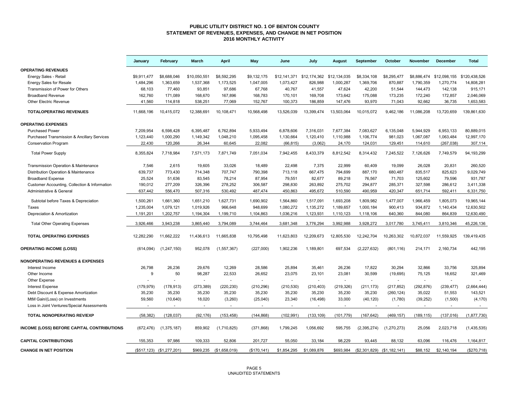#### **PUBLIC UTILITY DISTRICT NO. 1 OF BENTON COUNTY STATEMENT OF REVENUES, EXPENSES, AND CHANGE IN NET POSITION 2016 MONTHLY ACTIVITY**

|                                                        | January     | February                  | March                    | <b>April</b>            | May          | June        | July                     | August     | September     | October                     | <b>November</b> | December     | <b>Total</b>  |
|--------------------------------------------------------|-------------|---------------------------|--------------------------|-------------------------|--------------|-------------|--------------------------|------------|---------------|-----------------------------|-----------------|--------------|---------------|
| <b>OPERATING REVENUES</b>                              |             |                           |                          |                         |              |             |                          |            |               |                             |                 |              |               |
| Energy Sales - Retail                                  | \$9.911.477 | \$8,688,046               | \$10.050.551             | \$8,592,295             | \$9.132.175  |             |                          |            | \$8,334,108   | \$8,295,477                 | \$8.886.474     | \$12,098,155 | \$120,438,526 |
| <b>Energy Sales for Resale</b>                         | 1,484,296   | 1,363,659                 | 1,537,368                | 1,173,525               | 1,047,005    | 1,073,427   | 826,988                  | 1,000,287  | 1,369,706     | 870,887                     | 1,790,359       | 1,270,774    | 14,808,281    |
| Transmission of Power for Others                       | 68,103      | 77,460                    | 93,851                   | 97,686                  | 67,768       | 40,767      | 41,557                   | 47,624     | 42,200        | 51,544                      | 144,473         | 142,138      | 915,171       |
| <b>Broadband Revenue</b>                               | 162,760     | 171,089                   | 168,670                  | 167,896                 | 168,783      | 170,101     | 169,708                  | 173,642    | 175,088       | 173,235                     | 172,240         | 172,857      | 2,046,069     |
| <b>Other Electric Revenue</b>                          | 41,560      | 114,818                   | 538,251                  | 77,069                  | 152,767      | 100,373     | 186,859                  | 147,476    | 93,970        | 71,043                      | 92,662          | 36,735       | 1,653,583     |
| <b>TOTALOPERATING REVENUES</b>                         | 11.668.196  | 10,415,072                | 12,388,691               | 10,108,471              | 10,568,498   | 13,526,039  | 13,399,474               | 13,503,064 | 10,015,072    | 9,462,186                   | 11,086,208      | 13,720,659   | 139.861.630   |
| <b>OPERATING EXPENSES</b>                              |             |                           |                          |                         |              |             |                          |            |               |                             |                 |              |               |
| <b>Purchased Power</b>                                 | 7,209,954   | 6,598,428                 | 6,395,487                | 6,762,894               | 5,933,494    | 6,878,606   | 7,316,031                | 7,677,384  | 7,083,627     | 6,135,048                   | 5,944,929       | 6,953,133    | 80,889,015    |
| <b>Purchased Transmission &amp; Ancillary Services</b> | 1,123,440   | 1,000,290                 | 1,149,342                | 1,048,210               | 1,095,458    | 1,130,664   | 1,120,410                | 1,110,988  | 1,106,774     | 981,023                     | 1,067,087       | 1,063,484    | 12,997,170    |
| <b>Conservation Program</b>                            | 22,430      | 120,266                   | 26,344                   | 60,645                  | 22,082       | (66, 815)   | (3,062)                  | 24,170     | 124,031       | 129,451                     | 114,610         | (267, 038)   | 307,114       |
| <b>Total Power Supply</b>                              | 8,355,824   | 7,718,984                 | 7,571,173                | 7,871,749               | 7,051,034    | 7,942,455   | 8,433,379                | 8,812,542  | 8,314,432     | 7,245,522                   | 7,126,626       | 7,749,579    | 94,193,299    |
| Transmission Operation & Maintenance                   | 7,546       | 2,615                     | 19,605                   | 33,026                  | 18,489       | 22,498      | 7,375                    | 22,999     | 60,409        | 19,099                      | 26,028          | 20,831       | 260,520       |
| Distribution Operation & Maintenance                   | 639,737     | 773,430                   | 714,348                  | 707,747                 | 790,398      | 713,118     | 667,475                  | 794,699    | 887,170       | 680,487                     | 835,517         | 825,623      | 9,029,749     |
| <b>Broadband Expense</b>                               | 25,524      | 51,636                    | 83,545                   | 78,214                  | 87,954       | 79,551      | 82,677                   | 89,218     | 76,567        | 71,703                      | 125,602         | 79,596       | 931,787       |
| Customer Accounting, Collection & Information          | 190,012     | 277,209                   | 326,396                  | 278,252                 | 306,587      | 298,830     | 263,892                  | 275,702    | 294,877       | 285,371                     | 327,598         | 286,612      | 3,411,338     |
| Administrative & General                               | 637,442     | 556,470                   | 507,316                  | 530,492                 | 487,474      | 450,863     | 495,672                  | 510,590    | 490,959       | 420,347                     | 651,714         | 592,411      | 6,331,750     |
| Subtotal before Taxes & Depreciation                   | 1,500,261   | 1,661,360                 | 1,651,210                | 1,627,731               | 1,690,902    | 1,564,860   | 1,517,091                | 1,693,208  | 1,809,982     | 1,477,007                   | 1,966,459       | 1,805,073    | 19,965,144    |
| Taxes                                                  | 1,235,004   | 1,079,121                 | 1,019,926                | 966,648                 | 948,699      | 1,080,272   | 1,135,272                | 1,189,657  | 1,000,184     | 900,413                     | 934,872         | 1,140,434    | 12,630,502    |
| Depreciation & Amortization                            | 1,191,201   | 1,202,757                 | 1,194,304                | 1,199,710               | 1,104,863    | 1,036,216   | 1,123,931                | 1,110,123  | 1,118,106     | 640,360                     | 844,080         | 864,839      | 12,630,490    |
| <b>Total Other Operating Expenses</b>                  | 3,926,466   | 3,943,238                 | 3,865,440                | 3.794.089               | 3,744,464    | 3,681,348   | 3,776,294                | 3,992,988  | 3,928,272     | 3,017,780                   | 3,745,411       | 3,810,346    | 45,226,136    |
| <b>TOTAL OPERATING EXPENSES</b>                        | 12,282,290  | 11,662,222                | 11,436,613               | 11,665,838              | 10,795,498   | 11,623,803  | 12,209,673               | 12,805,530 | 12,242,704    | 10,263,302                  | 10,872,037      | 11,559,925   | 139,419,435   |
| <b>OPERATING INCOME (LOSS)</b>                         | (614, 094)  | (1, 247, 150)             | 952,078                  | (1, 557, 367)           | (227,000)    | 1,902,236   | 1,189,801                | 697,534    | (2,227,632)   | (801, 116)                  | 214,171         | 2,160,734    | 442,195       |
| <b>NONOPERATING REVENUES &amp; EXPENSES</b>            |             |                           |                          |                         |              |             |                          |            |               |                             |                 |              |               |
| Interest Income                                        | 26,798      | 26,236                    | 29,676                   | 12,269                  | 28,586       | 25,894      | 35,461                   | 26,236     | 17,822        | 30,294                      | 32,866          | 33,756       | 325,894       |
| Other Income                                           | 9           | 50                        | 98,287                   | 22,533                  | 26,652       | 23,075      | 23,101                   | 23,081     | 30,599        | (19, 695)                   | 75,125          | 18,652       | 321,469       |
| Other Expense                                          |             |                           |                          |                         |              |             |                          |            |               |                             |                 | $\omega$     |               |
| <b>Interest Expense</b>                                | (179, 979)  | (178, 913)                | (273, 389)               | (220, 230)              | (210, 296)   | (210, 530)  | (210, 403)               | (219, 326) | (211, 173)    | (217, 852)                  | (292, 876)      | (239, 477)   | (2,664,444)   |
| Debt Discount & Expense Amortization                   | 35,230      | 35,230                    | 35,230                   | 35,230                  | 35,230       | 35,230      | 35,230                   | 35,230     | 35,230        | (260, 124)                  | 35,022          | 51,553       | 143,521       |
| MtM Gain/(Loss) on Investments                         | 59.560      | (10, 640)                 | 18,020                   | (3,260)                 | (25,040)     | 23,340      | (16, 498)                | 33,000     | (40, 120)     | (1,780)                     | (39, 252)       | (1,500)      | (4, 170)      |
| Loss in Joint Ventures/Special Assessments             |             | $\sim$                    | $\overline{\phantom{a}}$ | $\sim$                  |              | $\sim$      | $\overline{\phantom{a}}$ |            |               | $\sim$                      | $\sim$          | $\sim$       | $\sim$        |
| <b>TOTAL NONOPERATING REV/EXP</b>                      | (58, 382)   | (128, 037)                | (92, 176)                | (153, 458)              | (144, 868)   | (102, 991)  | (133, 109)               | (101, 779) | (167, 642)    | (469, 157)                  | (189, 115)      | (137, 016)   | (1,877,730)   |
| INCOME (LOSS) BEFORE CAPITAL CONTRIBUTIONS             | (672, 476)  | (1,375,187)               | 859,902                  | (1,710,825)             | (371, 868)   | 1,799,245   | 1,056,692                | 595,755    | (2, 395, 274) | (1,270,273)                 | 25,056          | 2,023,718    | (1,435,535)   |
| <b>CAPITAL CONTRIBUTIONS</b>                           | 155.353     | 97,986                    | 109,333                  | 52.806                  | 201,727      | 55.050      | 33,184                   | 98.229     | 93.445        | 88.132                      | 63,096          | 116,476      | 1,164,817     |
| <b>CHANGE IN NET POSITION</b>                          |             | (\$517,123) (\$1,277,201) |                          | \$969,235 (\$1,658,019) | (\$170, 141) | \$1,854,295 | \$1,089,876              | \$693,984  |               | (\$2,301,829) (\$1,182,141) | \$88.152        | \$2,140.194  | (\$270,718)   |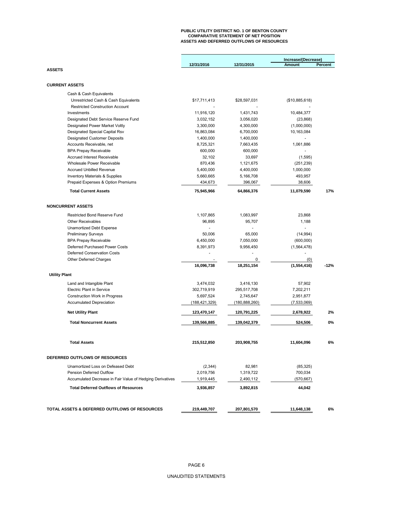## **PUBLIC UTILITY DISTRICT NO. 1 OF BENTON COUNTY COMPARATIVE STATEMENT OF NET POSITION ASSETS AND DEFERRED OUTFLOWS OF RESOURCES**

|                                           |                 |                 | Increase/(Decrease) |                |
|-------------------------------------------|-----------------|-----------------|---------------------|----------------|
|                                           | 12/31/2016      | 12/31/2015      | <b>Amount</b>       | <b>Percent</b> |
| <b>ASSETS</b>                             |                 |                 |                     |                |
|                                           |                 |                 |                     |                |
| <b>CURRENT ASSETS</b>                     |                 |                 |                     |                |
| Cash & Cash Equivalents                   |                 |                 |                     |                |
| Unrestricted Cash & Cash Equivalents      | \$17,711,413    | \$28,597,031    | (\$10,885,618)      |                |
| <b>Restricted Construction Account</b>    |                 |                 |                     |                |
| Investments                               | 11,916,120      | 1,431,743       | 10,484,377          |                |
| Designated Debt Service Reserve Fund      | 3,032,152       | 3,056,020       | (23, 868)           |                |
| <b>Designated Power Market Voltly</b>     | 3,300,000       | 4,300,000       | (1,000,000)         |                |
| Designated Special Capital Rsv            | 16,863,084      | 6,700,000       | 10,163,084          |                |
|                                           |                 |                 |                     |                |
| <b>Designated Customer Deposits</b>       | 1,400,000       | 1,400,000       |                     |                |
| Accounts Receivable, net                  | 8,725,321       | 7,663,435       | 1,061,886           |                |
| <b>BPA Prepay Receivable</b>              | 600,000         | 600,000         |                     |                |
| <b>Accrued Interest Receivable</b>        | 32,102          | 33,697          | (1,595)             |                |
| Wholesale Power Receivable                | 870,436         | 1,121,675       | (251, 239)          |                |
| <b>Accrued Unbilled Revenue</b>           | 5,400,000       | 4,400,000       | 1,000,000           |                |
| <b>Inventory Materials &amp; Supplies</b> | 5,660,665       | 5,166,708       | 493,957             |                |
| Prepaid Expenses & Option Premiums        | 434,673         | 396,067         | 38,606              |                |
| <b>Total Current Assets</b>               | 75,945,966      | 64,866,376      | 11,079,590          | 17%            |
| <b>NONCURRENT ASSETS</b>                  |                 |                 |                     |                |
|                                           |                 |                 |                     |                |
| <b>Restricted Bond Reserve Fund</b>       | 1,107,865       | 1,083,997       | 23,868              |                |
| <b>Other Receivables</b>                  | 96,895          | 95,707          | 1,188               |                |
| <b>Unamortized Debt Expense</b>           |                 |                 |                     |                |
| <b>Preliminary Surveys</b>                | 50,006          | 65,000          | (14, 994)           |                |
| <b>BPA Prepay Receivable</b>              | 6,450,000       | 7,050,000       | (600,000)           |                |
| <b>Deferred Purchased Power Costs</b>     | 8,391,973       | 9,956,450       | (1,564,478)         |                |
| <b>Deferred Conservation Costs</b>        |                 |                 |                     |                |
| <b>Other Deferred Charges</b>             |                 | 0               | (0)                 |                |
|                                           | 16,096,738      | 18,251,154      | (1,554,416)         | $-12%$         |
| <b>Utility Plant</b>                      |                 |                 |                     |                |
|                                           |                 |                 |                     |                |
| Land and Intangible Plant                 | 3,474,032       | 3,416,130       | 57,902              |                |
| <b>Electric Plant in Service</b>          | 302,719,919     | 295,517,708     | 7,202,211           |                |
| <b>Construction Work in Progress</b>      | 5,697,524       | 2,745,647       | 2,951,877           |                |
| <b>Accumulated Depreciation</b>           | (188, 421, 329) | (180, 888, 260) | (7,533,069)         |                |
| <b>Net Utility Plant</b>                  | 123,470,147     | 120,791,225     | 2,678,922           | 2%             |
| <b>Total Noncurrent Assets</b>            | 139,566,885     | 139,042,379     | 524,506             | $0\%$          |
|                                           |                 |                 |                     |                |
| <b>Total Assets</b>                       | 215,512,850     | 203,908,755     | 11,604,096          | 6%             |
| DEFERRED OUTFLOWS OF RESOURCES            |                 |                 |                     |                |
| Unamortized Loss on Defeased Debt         | (2, 344)        | 82,981          | (85, 325)           |                |

| <b>Pension Deferred Outflow</b>                           | 2,019,756   | 1,319,722   | 700,034    |    |
|-----------------------------------------------------------|-------------|-------------|------------|----|
| Accumulated Decrease in Fair Value of Hedging Derivatives | 1,919,445   | 2,490,112   | (570, 667) |    |
| <b>Total Deferred Outflows of Resources</b>               | 3,936,857   | 3,892,815   | 44,042     |    |
| TOTAL ASSETS & DEFERRED OUTFLOWS OF RESOURCES             | 219,449,707 | 207,801,570 | 11,648,138 | 6% |

PAGE 6

UNAUDITED STATEMENTS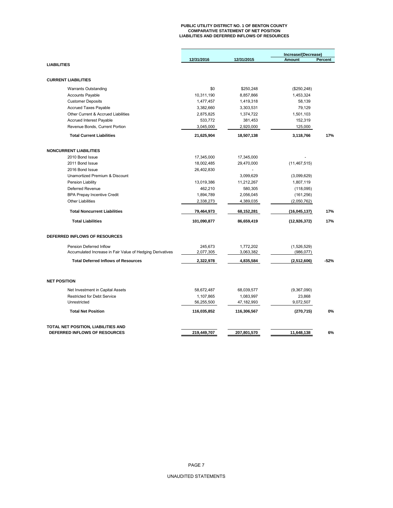## **PUBLIC UTILITY DISTRICT NO. 1 OF BENTON COUNTY COMPARATIVE STATEMENT OF NET POSITION LIABILITIES AND DEFERRED INFLOWS OF RESOURCES**

|                                                           |             |             | Increase/(Decrease) |                |
|-----------------------------------------------------------|-------------|-------------|---------------------|----------------|
|                                                           | 12/31/2016  | 12/31/2015  | <b>Amount</b>       | <b>Percent</b> |
| <b>LIABILITIES</b>                                        |             |             |                     |                |
| <b>CURRENT LIABILITIES</b>                                |             |             |                     |                |
| <b>Warrants Outstanding</b>                               | \$0         | \$250,248   | (\$250, 248)        |                |
| <b>Accounts Payable</b>                                   | 10,311,190  | 8,857,866   | 1,453,324           |                |
| <b>Customer Deposits</b>                                  | 1,477,457   | 1,419,318   | 58,139              |                |
| <b>Accrued Taxes Payable</b>                              | 3,382,660   | 3,303,531   | 79,129              |                |
| Other Current & Accrued Liabilities                       | 2,875,825   | 1,374,722   | 1,501,103           |                |
| <b>Accrued Interest Payable</b>                           | 533,772     | 381,453     | 152,319             |                |
| Revenue Bonds, Current Portion                            | 3,045,000   | 2,920,000   | 125,000             |                |
| <b>Total Current Liabilities</b>                          | 21,625,904  | 18,507,138  | 3,118,766           | 17%            |
| <b>NONCURRENT LIABILITIES</b>                             |             |             |                     |                |
| 2010 Bond Issue                                           | 17,345,000  | 17,345,000  |                     |                |
| 2011 Bond Issue                                           | 18,002,485  | 29,470,000  | (11, 467, 515)      |                |
| 2016 Bond Issue                                           | 26,402,830  |             |                     |                |
| <b>Unamortized Premium &amp; Discount</b>                 |             | 3,099,629   | (3,099,629)         |                |
| <b>Pension Liability</b>                                  | 13,019,386  | 11,212,267  | 1,807,119           |                |
| <b>Deferred Revenue</b>                                   | 462,210     | 580,305     | (118,095)           |                |
| <b>BPA Prepay Incentive Credit</b>                        | 1,894,789   | 2,056,045   | (161, 256)          |                |
| <b>Other Liabilities</b>                                  | 2,338,273   | 4,389,035   | (2,050,762)         |                |
| <b>Total Noncurrent Liabilities</b>                       | 79,464,973  | 68,152,281  | (16, 045, 137)      | 17%            |
| <b>Total Liabilities</b>                                  | 101,090,877 | 86,659,419  | (12, 926, 372)      | 17%            |
| DEFERRED INFLOWS OF RESOURCES                             |             |             |                     |                |
| Pension Deferred Inflow                                   | 245,673     | 1,772,202   | (1,526,529)         |                |
| Accumulated Increase in Fair Value of Hedging Derivatives | 2,077,305   | 3,063,382   | (986, 077)          |                |
| <b>Total Deferred Inflows of Resources</b>                | 2,322,978   | 4,835,584   | (2,512,606)         | $-52%$         |
| <b>NET POSITION</b>                                       |             |             |                     |                |
| Net Investment in Capital Assets                          | 58,672,487  | 68,039,577  | (9,367,090)         |                |
| <b>Restricted for Debt Service</b>                        | 1,107,865   | 1,083,997   | 23,868              |                |
| Unrestricted                                              | 56,255,500  | 47,182,993  | 9,072,507           |                |
| <b>Total Net Position</b>                                 | 116,035,852 | 116,306,567 | (270, 715)          | $0\%$          |
| TOTAL NET POSITION, LIABILITIES AND                       |             |             |                     |                |
| DEFERRED INFLOWS OF RESOURCES                             | 219,449,707 | 207,801,570 | 11,648,138          | 6%             |

PAGE 7

UNAUDITED STATEMENTS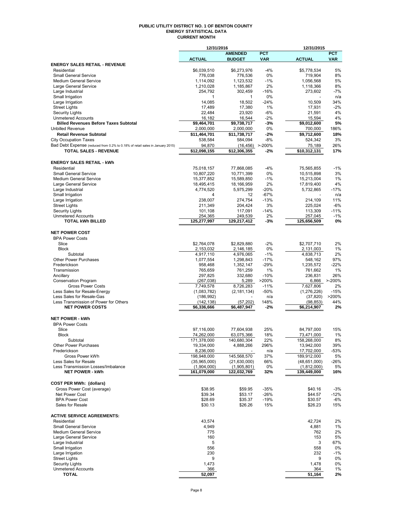#### **PUBLIC UTILITY DISTRICT NO. 1 OF BENTON COUNTY ENERGY STATISTICAL DATA CURRENT MONTH**

|                                                                               | 12/31/2016                |                          |                  | 12/31/2015                |                 |
|-------------------------------------------------------------------------------|---------------------------|--------------------------|------------------|---------------------------|-----------------|
|                                                                               |                           | <b>AMENDED</b>           | <b>PCT</b>       |                           | <b>PCT</b>      |
| <b>ENERGY SALES RETAIL - REVENUE</b>                                          | <b>ACTUAL</b>             | <b>BUDGET</b>            | <b>VAR</b>       | <b>ACTUAL</b>             | <b>VAR</b>      |
| Residential                                                                   | \$6,039,510               | \$6,273,976              | $-4%$            | \$5,778,534               | 5%              |
| Small General Service                                                         | 776,038                   | 776,536                  | 0%               | 719,904                   | 8%              |
| <b>Medium General Service</b>                                                 | 1,114,092                 | 1,123,532                | -1%              | 1,056,568                 | 5%              |
| Large General Service                                                         | 1,210,028                 | 1,185,867                | 2%               | 1,118,366                 | 8%              |
| Large Industrial                                                              | 254,792                   | 302,459                  | $-16%$           | 273,602                   | $-7%$           |
| Small Irrigation                                                              | 1                         | 1                        | 0%               |                           | n/a             |
| Large Irrigation                                                              | 14,085                    | 18,502                   | $-24%$           | 10,509                    | 34%             |
| <b>Street Lights</b><br><b>Security Lights</b>                                | 17,489<br>22,484          | 17,380<br>23,920         | 1%<br>-6%        | 17,931<br>21,591          | $-2%$<br>4%     |
| <b>Unmetered Accounts</b>                                                     | 16,182                    | 16,544                   | $-2%$            | 15,594                    | 4%              |
| <b>Billed Revenues Before Taxes Subtotal</b>                                  | \$9,464,701               | \$9,738,717              | -3%              | \$9,012,600               | 5%              |
| <b>Unbilled Revenue</b>                                                       | 2,000,000                 | 2,000,000                | 0%               | 700,000                   | 186%            |
| <b>Retail Revenue Subtotal</b>                                                | \$11,464,701              | \$11,738,717             | $-2%$            | \$9,712,600               | 18%             |
| <b>City Occupation Taxes</b>                                                  | 538,584                   | 584,094                  | $-8%$            | 524,342                   | 3%              |
| Bad Debt Expense (reduced from 0.2% to 0.18% of retail sales in January 2015) | 94,870                    | (16, 456)                | $> -200%$        | 75,189                    | 26%             |
| <b>TOTAL SALES - REVENUE</b>                                                  | \$12,098,155              | $\overline{$}12,306,355$ | $-2%$            | \$10,312,131              | 17%             |
|                                                                               |                           |                          |                  |                           |                 |
| <b>ENERGY SALES RETAIL - kWh</b>                                              |                           |                          |                  |                           |                 |
| Residential<br><b>Small General Service</b>                                   | 75,018,157<br>10,807,220  | 77,868,085<br>10,771,399 | $-4%$<br>0%      | 75,565,855<br>10,515,898  | $-1%$<br>3%     |
| <b>Medium General Service</b>                                                 | 15,377,852                | 15,589,850               | $-1%$            | 15,213,004                | 1%              |
| Large General Service                                                         | 18,495,415                | 18,166,959               | 2%               | 17,819,400                | 4%              |
| Large Industrial                                                              | 4,774,520                 | 5,975,299                | $-20%$           | 5,732,865                 | $-17%$          |
| Small Irrigation                                                              | 4                         | 12                       | $-67%$           |                           | n/a             |
| Large Irrigation                                                              | 238,007                   | 274,754                  | $-13%$           | 214,109                   | 11%             |
| <b>Street Lights</b>                                                          | 211,349                   | 204,424                  | 3%               | 225,024                   | $-6%$           |
| <b>Security Lights</b><br><b>Unmetered Accounts</b>                           | 101,108<br>254,365        | 117,091<br>249,539       | $-14%$<br>2%     | 113,309<br>257,045        | $-11%$<br>$-1%$ |
| <b>TOTAL kWh BILLED</b>                                                       | 125,277,997               | 129,217,412              | -3%              | 125,656,509               | 0%              |
|                                                                               |                           |                          |                  |                           |                 |
| <b>NET POWER COST</b>                                                         |                           |                          |                  |                           |                 |
| <b>BPA Power Costs</b>                                                        |                           |                          |                  |                           |                 |
| Slice                                                                         | \$2,764,078               | \$2,829,880              | $-2%$            | \$2,707,710               | 2%              |
| <b>Block</b>                                                                  | 2,153,032                 | 2,146,185                | 0%               | 2,131,003                 | 1%              |
| Subtotal                                                                      | 4,917,110                 | 4,976,065                | $-1%$            | 4,838,713                 | 2%              |
| <b>Other Power Purchases</b><br>Frederickson                                  | 1,077,554<br>958,468      | 1,298,843<br>1,352,147   | $-17%$<br>$-29%$ | 548,162<br>1,235,572      | 97%<br>$-22%$   |
| Transmission                                                                  | 765,659                   | 761,259                  | 1%               | 761,662                   | 1%              |
| Ancillary                                                                     | 297,825                   | 332,680                  | $-10%$           | 236,831                   | 26%             |
| <b>Conservation Program</b>                                                   | (267, 038)                | 5,289                    | >200%            | 6,866                     | $> -200%$       |
| <b>Gross Power Costs</b>                                                      | 7,749,578                 | 8,726,283                | $-11%$           | 7,627,806                 | 2%              |
| Less Sales for Resale-Energy                                                  | (1,083,782)               | (2, 181, 134)            | $-50%$           | (1,276,226)               | $-15%$          |
| Less Sales for Resale-Gas                                                     | (186,992)                 |                          | n/a              | (37, 820)                 | >200%           |
| Less Transmission of Power for Others<br><b>NET POWER COSTS</b>               | (142, 138)<br>\$6,336,666 | (57, 202)<br>\$6,487,947 | 148%<br>$-2%$    | (98, 853)<br>\$6,214,907  | 44%<br>2%       |
|                                                                               |                           |                          |                  |                           |                 |
| <b>NET POWER - kWh</b>                                                        |                           |                          |                  |                           |                 |
| <b>BPA Power Costs</b>                                                        |                           |                          |                  |                           |                 |
| Slice                                                                         | 97,116,000                | 77,604,938               | 25%              | 84,797,000                | 15%             |
| <b>Block</b>                                                                  | 74,262,000                | 63,075,366               | 18%              | 73,471,000                | 1%              |
| Subtotal                                                                      | 171,378,000               | 140,680,304              | 22%              | 158,268,000               | 8%              |
| <b>Other Power Purchases</b>                                                  | 19,334,000                | 4,888,266                | 296%             | 13,942,000                | 39%             |
| Frederickson<br>Gross Power kWh                                               | 8,236,000<br>198,948,000  | 145,568,570              | n/a<br>37%       | 17,702,000<br>189,912,000 | $-53%$<br>5%    |
| Less Sales for Resale                                                         | (35,965,000)              | (21,630,000)             | 66%              | (48, 651, 000)            | $-26%$          |
| Less Transmission Losses/Imbalance                                            | (1,904,000)               | (1,905,801)              | 0%               | (1,812,000)               | 5%              |
| <b>NET POWER - kWh</b>                                                        | 161,079,000               | 122,032,769              | 32%              | 139,449,000               | 16%             |
|                                                                               |                           |                          |                  |                           |                 |
| <b>COST PER MWh: (dollars)</b>                                                |                           |                          |                  |                           |                 |
| Gross Power Cost (average)                                                    | \$38.95                   | \$59.95                  | $-35%$           | \$40.16                   | $-3%$           |
| Net Power Cost                                                                | \$39.34                   | \$53.17                  | $-26%$           | \$44.57                   | $-12%$          |
| <b>BPA Power Cost</b><br>Sales for Resale                                     | \$28.69<br>\$30.13        | \$35.37<br>\$26.26       | $-19%$<br>15%    | \$30.57<br>\$26.23        | $-6%$<br>15%    |
|                                                                               |                           |                          |                  |                           |                 |
| <b>ACTIVE SERVICE AGREEMENTS:</b>                                             |                           |                          |                  |                           |                 |
| Residential                                                                   | 43,574                    |                          |                  | 42,724                    | 2%              |
| Small General Service                                                         | 4,949                     |                          |                  | 4,881                     | 1%              |
| <b>Medium General Service</b>                                                 | 775                       |                          |                  | 762                       | 2%              |
| Large General Service                                                         | 160                       |                          |                  | 153                       | 5%              |
| Large Industrial                                                              | 5                         |                          |                  | 3                         | 67%             |
| Small Irrigation                                                              | 556                       |                          |                  | 558                       | 0%              |
| Large Irrigation<br><b>Street Lights</b>                                      | 230<br>9                  |                          |                  | 232<br>9                  | -1%<br>0%       |
| <b>Security Lights</b>                                                        | 1,473                     |                          |                  | 1,478                     | 0%              |
| <b>Unmetered Accounts</b>                                                     | 366                       |                          |                  | 364                       | 1%              |
| <b>TOTAL</b>                                                                  | 52,097                    |                          |                  | 51,164                    | 2%              |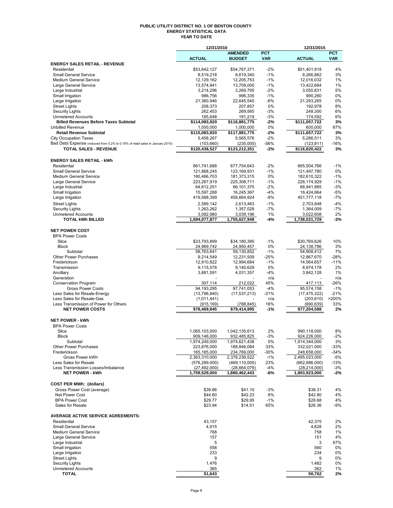#### **PUBLIC UTILITY DISTRICT NO. 1 OF BENTON COUNTY ENERGY STATISTICAL DATA YEAR TO DATE**

|                                                                                                               | 12/31/2016                  |                              |                | 12/31/2015                  |              |
|---------------------------------------------------------------------------------------------------------------|-----------------------------|------------------------------|----------------|-----------------------------|--------------|
|                                                                                                               |                             | <b>AMENDED</b>               | <b>PCT</b>     |                             | <b>PCT</b>   |
|                                                                                                               | <b>ACTUAL</b>               | <b>BUDGET</b>                | <b>VAR</b>     | <b>ACTUAL</b>               | <b>VAR</b>   |
| <b>ENERGY SALES RETAIL - REVENUE</b>                                                                          |                             |                              |                |                             | 4%           |
| Residential<br><b>Small General Service</b>                                                                   | \$53,642,127<br>8,519,218   | \$54,767,371<br>8,619,340    | $-2%$<br>$-1%$ | \$51,401,918<br>8,266,862   | 3%           |
| <b>Medium General Service</b>                                                                                 | 12,129,162                  | 12,205,753                   | $-1%$          | 12,016,032                  | 1%           |
| Large General Service                                                                                         | 13,574,941                  | 13,709,000                   | $-1%$          | 13,422,684                  | 1%           |
| Large Industrial                                                                                              | 3,214,296                   | 3,269,795                    | $-2%$          | 3,050,831                   | 5%           |
| Small Irrigation                                                                                              | 986,756                     | 996,335                      | $-1%$          | 990,260                     | 0%           |
| Large Irrigation                                                                                              | 21,360,946                  | 22,645,540                   | $-6%$          | 21,293,265                  | 0%           |
| <b>Street Lights</b>                                                                                          | 208,373                     | 207,857                      | 0%             | 192,978                     | 8%           |
| <b>Security Lights</b>                                                                                        | 262,453                     | 269,565                      | $-3%$          | 248,300                     | 6%           |
| <b>Unmetered Accounts</b>                                                                                     | 185,648                     | 191,219                      | $-3%$          | 174,592                     | 6%           |
| <b>Billed Revenues Before Taxes Subtotal</b>                                                                  | \$114,083,920               | \$116,881,775                | -2%            | \$111,057,722               | 3%           |
| <b>Unbilled Revenue</b>                                                                                       | 1,000,000                   | 1,000,000                    | 0%             | 600,000                     | 67%          |
| <b>Retail Revenue Subtotal</b>                                                                                | \$115.083.920               | \$117,881,775                | $-2%$          | \$111.657.722               | 3%           |
| <b>City Occupation Taxes</b><br>Bad Debt Expense (reduced from 0.2% to 0.18% of retail sales in January 2015) | 5,458,267                   | 5,565,576                    | $-2%$<br>-56%  | 5,286,511                   | 3%<br>$-16%$ |
| TOTAL SALES - REVENUE                                                                                         | (103, 660)<br>\$120,438,527 | (235,000)<br>\$123,212,351   | $-2%$          | (123, 811)<br>\$116,820,422 | 3%           |
|                                                                                                               |                             |                              |                |                             |              |
| <b>ENERGY SALES RETAIL - kWh</b>                                                                              |                             |                              |                |                             |              |
| Residential                                                                                                   | 661,741,688                 | 677,754,643                  | $-2%$          | 665,504,766                 | $-1%$        |
| <b>Small General Service</b>                                                                                  | 121,868,245                 | 123,169,931                  | $-1%$          | 121,497,780                 | 0%           |
| <b>Medium General Service</b>                                                                                 | 180,466,703                 | 181,373,315                  | 0%             | 182,610,322                 | $-1%$        |
| Large General Service                                                                                         | 223,267,919                 | 225,308,711                  | $-1%$          | 226,174,929                 | $-1%$        |
| Large Industrial                                                                                              | 64,612,251                  | 66,101,370                   | $-2%$          | 66,941,885                  | $-3%$        |
| Small Irrigation                                                                                              | 15,597,288                  | 16,245,367                   | $-4%$          | 16,424,664                  | $-5%$        |
| Large Irrigation                                                                                              | 419,588,399                 | 458,664,924                  | $-9%$          | 451,777,118                 | $-7%$        |
| <b>Street Lights</b>                                                                                          | 2,589,142                   | 2,613,463                    | $-1%$          | 2,703,648                   | $-4%$        |
| <b>Security Lights</b>                                                                                        | 1,263,262                   | 1,357,028                    | $-7%$          | 1,364,009                   | $-7%$        |
| <b>Unmetered Accounts</b>                                                                                     | 3,082,980                   | 3,039,196                    | 1%             | 3,022,608                   | 2%           |
| <b>TOTAL kWh BILLED</b>                                                                                       | 1,694,077,877               | 1,755,627,948                | -4%            | 1,738,021,729               | $-3%$        |
|                                                                                                               |                             |                              |                |                             |              |
| <b>NET POWER COST</b>                                                                                         |                             |                              |                |                             |              |
| <b>BPA Power Costs</b>                                                                                        |                             |                              |                |                             |              |
| Slice                                                                                                         | \$33,793,899                | \$34,180,395                 | $-1%$          | \$30,769,626                | 10%          |
| <b>Block</b>                                                                                                  | 24,969,742                  | 24,950,457<br>59,130,852     | 0%<br>$-1%$    | 24,138,786<br>54,908,412    | 3%<br>7%     |
| Subtotal<br>Other Power Purchases                                                                             | 58,763,641<br>9,214,549     | 12,231,509                   | $-25%$         | 12,867,670                  | $-28%$       |
| Frederickson                                                                                                  | 12,910,822                  | 12,994,684                   | $-1%$          | 14,564,657                  | $-11%$       |
| Transmission                                                                                                  | 9,115,578                   | 9,140,629                    | 0%             | 8,974,178                   | 2%           |
| Ancillary                                                                                                     | 3,881,591                   | 4,031,357                    | $-4%$          | 3,842,128                   | 1%           |
| Generation                                                                                                    |                             |                              | n/a            |                             | n/a          |
| <b>Conservation Program</b>                                                                                   | 307,114                     | 212,022                      | 45%            | 417,113                     | $-26%$       |
| <b>Gross Power Costs</b>                                                                                      | 94,193,295                  | 97,741,053                   | $-4%$          | 95,574,158                  | $-1%$        |
| Less Sales for Resale-Energy                                                                                  | (13,796,840)                | (17, 537, 213)               | $-21%$         | (17, 475, 322)              | $-21%$       |
| Less Sales for Resale-Gas                                                                                     | (1,011,441)                 |                              | n/a            | (203, 610)                  | >200%        |
| Less Transmission of Power for Others                                                                         | (915, 169)                  | (788, 845)                   | 16%            | (690.639)                   | 33%          |
| <b>NET POWER COSTS</b>                                                                                        | \$78,469,845                | \$79,414,995                 | $-1%$          | \$77,204,588                | 2%           |
|                                                                                                               |                             |                              |                |                             |              |
| <b>NET POWER - kWh</b>                                                                                        |                             |                              |                |                             |              |
| <b>BPA Power Costs</b><br>Slice                                                                               | 1.065.103.000               |                              | 2%             |                             | 8%           |
| <b>Block</b>                                                                                                  | 909,146,000                 | 1,042,135,613<br>932,485,825 | $-3%$          | 990,118,000<br>924,226,000  | $-2\%$       |
| Subtotal                                                                                                      | 1,974,249,000               | 1,974,621,438                | 0%             | 1,914,344,000               | 3%           |
| <b>Other Power Purchases</b>                                                                                  | 223,876,000                 | 168,846,084                  | 33%            | 332,021,000                 | -33%         |
| Frederickson                                                                                                  | 165,185,000                 | 234,769,000                  | $-30%$         | 248,658,000                 | $-34%$       |
| Gross Power kWh                                                                                               | 2,363,310,000               | 2,378,236,522                | $-1\%$         | 2,495,023,000               | $-5%$        |
| Less Sales for Resale                                                                                         | (576, 289, 000)             | (469, 110, 000)              | 23%            | (662,886,000)               | $-13%$       |
| Less Transmission Losses/Imbalance                                                                            | (27, 492, 000)              | (28, 664, 079)               | -4%            | (28, 214, 000)              | -3%          |
| <b>NET POWER - kWh</b>                                                                                        | 1,759,529,000               | 1,880,462,443                | -6%            | 1,803,923,000               | $-2%$        |
|                                                                                                               |                             |                              |                |                             |              |
| <b>COST PER MWh: (dollars)</b>                                                                                |                             |                              |                |                             |              |
| Gross Power Cost (average)                                                                                    | \$39.86                     | \$41.10                      | $-3%$          | \$38.31                     | 4%           |
| Net Power Cost                                                                                                | \$44.60                     | \$42.23                      | 6%             | \$42.80                     | 4%           |
| <b>BPA Power Cost</b>                                                                                         | \$29.77                     | \$29.95                      | $-1%$          | \$28.68                     | 4%           |
| Sales for Resale                                                                                              | \$23.94                     | \$14.51                      | 65%            | \$26.36                     | -9%          |
| <b>AVERAGE ACTIVE SERVICE AGREEMENTS:</b>                                                                     |                             |                              |                |                             |              |
| Residential                                                                                                   | 43,157                      |                              |                | 42,375                      | 2%           |
| <b>Small General Service</b>                                                                                  | 4,915                       |                              |                | 4,828                       | 2%           |
| <b>Medium General Service</b>                                                                                 | 768                         |                              |                | 758                         | 1%           |
| Large General Service                                                                                         | 157                         |                              |                | 151                         | 4%           |
| Large Industrial                                                                                              | 5                           |                              |                | 3                           | 67%          |
| Small Irrigation                                                                                              | 558                         |                              |                | 560                         | 0%           |
| Large Irrigation                                                                                              | 233                         |                              |                | 234                         | 0%           |
| <b>Street Lights</b>                                                                                          | 9                           |                              |                | 9                           | 0%           |
| <b>Security Lights</b>                                                                                        | 1,476                       |                              |                | 1,482                       | 0%           |
| <b>Unmetered Accounts</b>                                                                                     | 365                         |                              |                | 362                         | 1%           |
| <b>TOTAL</b>                                                                                                  | 51,643                      |                              |                | 50,762                      | 2%           |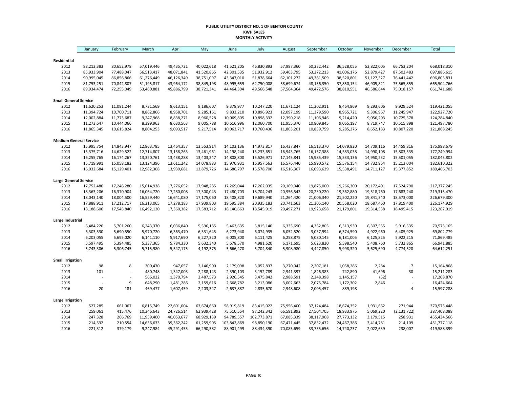#### **PUBLIC UTILITY DISTRICT NO. 1 OF BENTON COUNTY KWH SALES MONTHLY ACTIVITY**

|                                      | January                  | February                 | March                    | April                    | May                      | June                      | July                      | August                   | September                | October                  | November                 | December                 | Total                      |
|--------------------------------------|--------------------------|--------------------------|--------------------------|--------------------------|--------------------------|---------------------------|---------------------------|--------------------------|--------------------------|--------------------------|--------------------------|--------------------------|----------------------------|
|                                      |                          |                          |                          |                          |                          |                           |                           |                          |                          |                          |                          |                          |                            |
| Residential                          |                          |                          |                          |                          |                          |                           |                           |                          |                          |                          |                          |                          |                            |
| 2012<br>2013                         | 88,212,383<br>85,933,904 | 80,652,978<br>77,488,047 | 57,019,446<br>56,513,417 | 49,435,721<br>48,071,841 | 40,022,618<br>41,520,865 | 41,521,205<br>42,301,535  | 46,830,893<br>51,932,912  | 57,987,360<br>59,463,795 | 50,232,442<br>53,272,213 | 36,528,055<br>41,006,176 | 52,822,005<br>52,879,427 | 66,753,204<br>87,502,483 | 668,018,310<br>697,886,615 |
| 2014                                 | 90,995,045               | 86,856,866               | 61,276,449               | 46,126,349               | 38,751,097               | 43,347,010                | 51,878,664                | 62,101,272               | 49,381,509               | 38,520,801               | 51,127,327               | 76,441,442               | 696,803,831                |
| 2015                                 | 81,753,251               | 70,842,807               | 51,195,817               | 43,964,172               | 38,845,198               | 48,995,659                | 62,750,008                | 58,699,674               | 48,136,350               | 37,850,154               | 46,905,821               |                          | 665,504,766                |
| 2016                                 | 89,934,474               | 72,255,049               | 53,460,881               | 45,886,799               | 38,721,341               | 44,464,304                | 49,566,548                | 57,564,364               | 49,472,576               | 38,810,551               | 46,586,644               | 75,565,855<br>75,018,157 | 661,741,688                |
|                                      |                          |                          |                          |                          |                          |                           |                           |                          |                          |                          |                          |                          |                            |
| <b>Small General Service</b><br>2012 | 11,620,253               | 11,081,244               | 8,731,569                | 8,613,151                | 9,186,607                | 9,378,977                 | 10,247,220                | 11,671,124               | 11,202,911               | 8,464,869                | 9,293,606                | 9,929,524                | 119,421,055                |
|                                      | 11,394,724               |                          |                          | 8,958,701                |                          | 9,833,210                 | 10,896,923                | 12,097,199               | 11,379,590               |                          |                          |                          | 122,927,720                |
| 2013                                 |                          | 10,700,711               | 8,862,866                |                          | 9,285,161                |                           |                           |                          |                          | 8,965,721                | 9,306,967                | 11,245,947               |                            |
| 2014                                 | 12,002,884               | 11,773,687               | 9,247,968                | 8,838,271                | 8,960,528                | 10,069,805                | 10,898,332                | 12,390,218               | 11,106,946               | 9,214,420                | 9,056,203                | 10,725,578               | 124,284,840                |
| 2015                                 | 11,273,647               | 10,444,066               | 8,399,963                | 8,630,563                | 9,005,788                | 10,616,996                | 12,060,700                | 11,955,370               | 10,809,845               | 9,065,197                | 8,719,747                | 10,515,898               | 121,497,780                |
| 2016                                 | 11,865,345               | 10,615,824               | 8,804,253                | 9,093,517                | 9,217,514                | 10,063,717                | 10,760,436                | 11,863,201               | 10,839,759               | 9,285,276                | 8,652,183                | 10,807,220               | 121,868,245                |
| <b>Medium General Service</b>        |                          |                          |                          |                          |                          |                           |                           |                          |                          |                          |                          |                          |                            |
| 2012                                 | 15,995,754               | 14,843,947               | 12,863,785               | 13,464,357               | 13,553,914               | 14,103,136                | 14,973,817                | 16,437,847               | 16,513,370               | 14,079,820               | 14,709,116               | 14,459,816               | 175,998,679                |
| 2013                                 | 15,375,716               | 14,629,522               | 12,714,807               | 13,158,263               | 13,461,961               | 14,198,240                | 15,233,651                | 16,943,765               | 16,157,388               | 14,583,038               | 14,990,108               | 15,803,535               | 177,249,994                |
| 2014                                 | 16,255,765               | 16,174,267               | 13,320,761               | 13,438,288               | 13,403,247               | 14,808,800                | 15,526,971                | 17,145,841               | 15,985,439               | 15,533,136               | 14,950,232               | 15,501,055               | 182,043,802                |
| 2015                                 | 15,719,991               | 15,058,182               | 13,124,396               | 13,611,242               | 14,078,883               | 15,970,931                | 16,957,563                | 16,576,440               | 15,990,572               | 15,576,154               | 14,732,964               | 15,213,004               | 182,610,322                |
| 2016                                 | 16,032,684               | 15,129,401               | 12,982,308               | 13,939,681               | 13,879,726               | 14,686,797                | 15,578,700                | 16,516,307               | 16,093,629               | 15,538,491               | 14,711,127               | 15,377,852               | 180,466,703                |
| <b>Large General Service</b>         |                          |                          |                          |                          |                          |                           |                           |                          |                          |                          |                          |                          |                            |
| 2012                                 | 17,752,480               | 17,246,280               | 15,614,938               | 17,276,652               | 17,948,285               | 17,269,044                | 17,262,035                | 20,169,040               | 19,875,000               | 19,266,300               | 20,172,401               | 17,524,790               | 217,377,245                |
| 2013                                 | 18,363,206               | 16,370,904               | 16,064,720               | 17,280,008               | 17,300,043               | 17,480,703                | 18,704,243                | 20,956,543               | 20,230,220               | 19,362,880               | 19,518,760               | 17,683,240               | 219,315,470                |
| 2014                                 | 18,043,140               | 18,004,500               | 16,529,440               | 16,641,080               | 17,175,060               | 18,408,820                | 19,689,940                | 21,264,420               | 21,006,340               | 21,502,220               | 19,841,340               | 18,573,000               | 226,679,300                |
| 2015                                 | 17,888,911               | 17,212,717               | 16,213,065               | 17,278,183               | 17,939,803               | 19,595,384                | 20,935,183                | 20,741,663               | 21,305,140               | 20,558,020               | 18,687,460               | 17,819,400               | 226,174,929                |
| 2016                                 | 18,188,600               | 17,545,840               | 16,492,120               | 17,360,382               | 17,583,712               | 18,140,663                | 18,545,919                | 20,497,271               | 19,923,658               | 21,179,801               | 19,314,538               | 18,495,415               | 223,267,919                |
| Large Industrial                     |                          |                          |                          |                          |                          |                           |                           |                          |                          |                          |                          |                          |                            |
| 2012                                 | 6,484,220                | 5,701,260                | 6,243,370                | 6,036,840                | 5,596,185                | 5,463,635                 | 5,815,140                 | 6,333,690                | 4,362,805                | 6,313,930                | 6,307,555                | 5,916,535                | 70,575,165                 |
| 2013                                 | 6,303,530                | 5,690,550                | 5,970,720                | 6,363,470                | 6,331,645                | 6,273,940                 | 6,074,935                 | 6,052,520                | 3,037,994                | 6,374,590                | 4,922,960                | 6,405,925                | 69,802,779                 |
| 2014                                 | 6,203,055                | 5,695,020                | 6,141,110                | 5,917,690                | 6,227,320                | 6,005,800                 | 6,111,425                 | 6,258,875                | 5,080,145                | 6,181,005                | 6,125,825                | 5,922,215                | 71,869,485                 |
| 2015                                 | 5,597,495                | 5,394,485                | 5,337,365                | 5,784,330                | 5,632,340                | 5,678,570                 | 4,981,620                 | 6,171,695                | 5,623,820                | 5,598,540                | 5,408,760                | 5,732,865                | 66,941,885                 |
| 2016                                 | 5,743,306                | 5,306,745                | 5,715,980                | 5,547,175                | 4,192,375                | 5,666,470                 | 5,704,840                 | 5,908,980                | 4,427,850                | 5,998,320                | 5,625,690                | 4,774,520                | 64,612,251                 |
| <b>Small Irrigation</b>              |                          |                          |                          |                          |                          |                           |                           |                          |                          |                          |                          |                          |                            |
| 2012                                 | 98                       | 8                        | 300,470                  | 947,657                  | 2,146,900                | 2,179,098                 | 3,052,837                 | 3,270,042                | 2,207,181                | 1,058,286                | 2,284                    | $\overline{7}$           | 15,164,868                 |
| 2013                                 | 101                      | $\overline{a}$           | 480,748                  | 1,347,003                | 2,288,143                | 2,390,103                 | 3,152,789                 | 2,941,397                | 1,826,383                | 742,890                  | 41,696                   | 30                       | 15,211,283                 |
| 2014                                 |                          |                          | 566,022                  | 1,370,794                | 2,487,573                | 2,926,545                 | 3,475,842                 | 2,988,591                | 2,248,398                | 1,145,157                | (52)                     | L,                       | 17,208,870                 |
| 2015                                 |                          | 9                        | 648,290                  | 1,481,286                | 2,159,616                | 2,668,782                 | 3,213,086                 | 3,002,663                | 2,075,784                | 1,172,302                | 2,846                    |                          | 16,424,664                 |
| 2016                                 | 20                       | 181                      | 469,477                  | 1,607,439                | 2,203,347                | 2,637,887                 | 2,835,670                 | 2,948,608                | 2,005,457                | 889,198                  |                          | $\sqrt{4}$               | 15,597,288                 |
|                                      |                          |                          |                          |                          |                          |                           |                           |                          |                          |                          |                          |                          |                            |
| <b>Large Irrigation</b><br>2012      | 527,285                  | 661,067                  | 6,815,749                | 22,601,004               | 63,674,660               | 58,919,819                | 83,415,022                | 75,956,400               | 37,124,484               | 18,674,352               | 1,931,662                | 271,944                  | 370,573,448                |
| 2013                                 | 259,061                  | 415,476                  | 10,346,643               | 24,726,514               | 62,939,428               | 75,510,554                | 97,242,342                | 66,591,892               | 27,504,705               | 18,933,975               | 5,069,220                |                          | 387,408,088                |
|                                      |                          |                          |                          |                          |                          |                           |                           |                          |                          |                          |                          | (2, 131, 722)            |                            |
| 2014<br>2015                         | 247,328                  | 266,769<br>210,554       | 11,959,400<br>14,636,633 | 40,053,677<br>39,362,242 | 68,929,139<br>61,259,905 | 94,789,557<br>103,842,869 | 102,773,871<br>98,850,190 | 67,085,339<br>67,471,445 | 38,117,908<br>37,832,472 | 27,773,132<br>24,467,386 | 3,179,515<br>3,414,781   | 258,931                  | 455,434,566<br>451,777,118 |
|                                      | 214,532                  |                          |                          |                          |                          |                           |                           |                          |                          |                          |                          | 214,109                  |                            |
| 2016                                 | 221,312                  | 379,179                  | 9,247,984                | 45,291,455               | 66,290,382               | 88,901,499                | 88,434,390                | 70,085,659               | 33,735,656               | 14,740,237               | 2,022,639                | 238,007                  | 419,588,399                |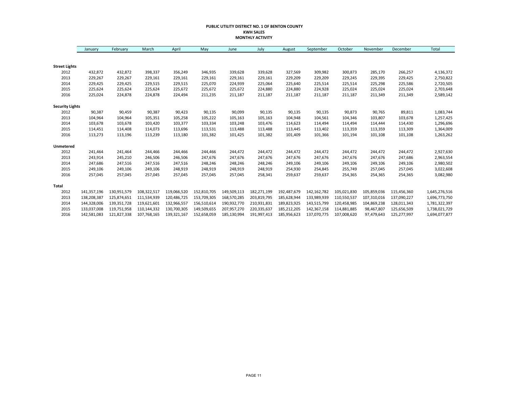#### **PUBLIC UTILITY DISTRICT NO. 1 OF BENTON COUNTY KWH SALES MONTHLY ACTIVITY**

|                        | January     | February    | March       | April       | May         | June        | July        | August      | September   | October     | November    | December    | Total         |
|------------------------|-------------|-------------|-------------|-------------|-------------|-------------|-------------|-------------|-------------|-------------|-------------|-------------|---------------|
|                        |             |             |             |             |             |             |             |             |             |             |             |             |               |
| <b>Street Lights</b>   |             |             |             |             |             |             |             |             |             |             |             |             |               |
| 2012                   | 432,872     | 432,872     | 398,337     | 356,249     | 346,935     | 339,628     | 339,628     | 327,569     | 309,982     | 300,873     | 285,170     | 266,257     | 4,136,372     |
| 2013                   | 229,267     | 229,267     | 229,161     | 229,161     | 229,161     | 229,161     | 229,161     | 229,209     | 229,209     | 229,245     | 229,395     | 229,425     | 2,750,822     |
| 2014                   | 229,425     | 229,425     | 229,515     | 229,515     | 225,070     | 224,939     | 225,064     | 225,640     | 225,514     | 225,514     | 225,298     | 225,586     | 2,720,505     |
| 2015                   | 225,624     | 225,624     | 225,624     | 225,672     | 225,672     | 225,672     | 224,880     | 224,880     | 224,928     | 225,024     | 225,024     | 225,024     | 2,703,648     |
| 2016                   | 225,024     | 224,878     | 224,878     | 224,494     | 211,235     | 211,187     | 211,187     | 211,187     | 211,187     | 211,187     | 211,349     | 211,349     | 2,589,142     |
| <b>Security Lights</b> |             |             |             |             |             |             |             |             |             |             |             |             |               |
| 2012                   | 90,387      | 90,459      | 90,387      | 90,423      | 90,135      | 90,099      | 90,135      | 90,135      | 90,135      | 90,873      | 90,765      | 89,811      | 1,083,744     |
| 2013                   | 104,964     | 104,964     | 105,351     | 105,258     | 105,222     | 105,163     | 105,163     | 104,948     | 104,561     | 104,346     | 103,807     | 103,678     | 1,257,425     |
| 2014                   | 103,678     | 103,678     | 103,420     | 103,377     | 103,334     | 103,248     | 103,476     | 114,623     | 114,494     | 114,494     | 114,444     | 114,430     | 1,296,696     |
| 2015                   | 114,451     | 114,408     | 114,073     | 113,696     | 113,531     | 113,488     | 113,488     | 113,445     | 113,402     | 113,359     | 113,359     | 113,309     | 1,364,009     |
| 2016                   | 113,273     | 113,196     | 113,239     | 113,180     | 101,382     | 101,425     | 101,382     | 101,409     | 101,366     | 101,194     | 101,108     | 101,108     | 1,263,262     |
| Unmetered              |             |             |             |             |             |             |             |             |             |             |             |             |               |
| 2012                   | 241,464     | 241,464     | 244,466     | 244,466     | 244,466     | 244,472     | 244,472     | 244,472     | 244,472     | 244,472     | 244,472     | 244,472     | 2,927,630     |
| 2013                   | 243,914     | 245,210     | 246,506     | 246,506     | 247,676     | 247,676     | 247,676     | 247,676     | 247,676     | 247,676     | 247,676     | 247,686     | 2,963,554     |
| 2014                   | 247,686     | 247,516     | 247,516     | 247,516     | 248,246     | 248,246     | 248,246     | 249,106     | 249,106     | 249,106     | 249,106     | 249,106     | 2,980,502     |
| 2015                   | 249,106     | 249,106     | 249,106     | 248,919     | 248,919     | 248,919     | 248,919     | 254,930     | 254,845     | 255,749     | 257,045     | 257,045     | 3,022,608     |
| 2016                   | 257,045     | 257,045     | 257,045     | 257,045     | 257,045     | 257,045     | 258,341     | 259,637     | 259,637     | 254,365     | 254,365     | 254,365     | 3,082,980     |
| <b>Total</b>           |             |             |             |             |             |             |             |             |             |             |             |             |               |
| 2012                   | 141,357,196 | 130,951,579 | 108,322,517 | 119,066,520 | 152,810,705 | 149,509,113 | 182,271,199 | 192,487,679 | 142,162,782 | 105,021,830 | 105,859,036 | 115,456,360 | 1,645,276,516 |
| 2013                   | 138,208,387 | 125,874,651 | 111,534,939 | 120,486,725 | 153,709,305 | 168,570,285 | 203,819,795 | 185,628,944 | 133,989,939 | 110,550,537 | 107,310,016 | 137,090,227 | 1,696,773,750 |
| 2014                   | 144,328,006 | 139,351,728 | 119,621,601 | 132,966,557 | 156,510,614 | 190,932,770 | 210,931,831 | 189,823,925 | 143,515,799 | 120,458,985 | 104,869,238 | 128,011,343 | 1,781,322,397 |
| 2015                   | 133,037,008 | 119,751,958 | 110,144,332 | 130,700,305 | 149,509,655 | 207,957,270 | 220,335,637 | 185,212,205 | 142,367,158 | 114,881,885 | 98,467,807  | 125,656,509 | 1,738,021,729 |
| 2016                   | 142,581,083 | 121,827,338 | 107,768,165 | 139,321,167 | 152,658,059 | 185,130,994 | 191,997,413 | 185,956,623 | 137,070,775 | 107,008,620 | 97,479,643  | 125,277,997 | 1,694,077,877 |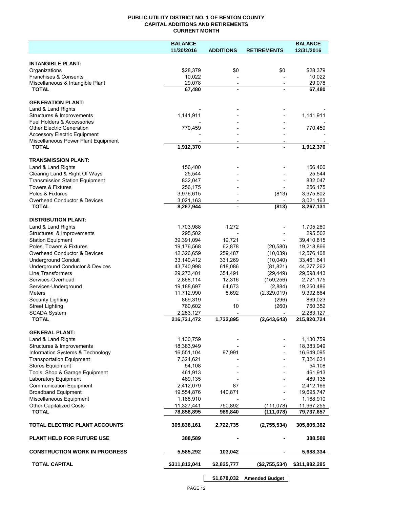### **PUBLIC UTILITY DISTRICT NO. 1 OF BENTON COUNTY CAPITAL ADDITIONS AND RETIREMENTS CURRENT MONTH**

|                                                          | <b>BALANCE</b>           |                                                      |                          | <b>BALANCE</b>           |
|----------------------------------------------------------|--------------------------|------------------------------------------------------|--------------------------|--------------------------|
|                                                          | 11/30/2016               | <b>ADDITIONS</b>                                     | <b>RETIREMENTS</b>       | 12/31/2016               |
| <b>INTANGIBLE PLANT:</b>                                 |                          |                                                      |                          |                          |
| Organizations                                            | \$28,379                 | \$0                                                  | \$0                      | \$28,379                 |
| Franchises & Consents                                    | 10,022                   |                                                      |                          | 10,022                   |
| Miscellaneous & Intangible Plant                         | 29,078                   | $\overline{\phantom{a}}$                             | $\overline{\phantom{a}}$ | 29,078                   |
| <b>TOTAL</b>                                             | 67,480                   | ä,                                                   |                          | 67,480                   |
| <b>GENERATION PLANT:</b>                                 |                          |                                                      |                          |                          |
| Land & Land Rights                                       |                          |                                                      |                          |                          |
| Structures & Improvements                                | 1,141,911                |                                                      |                          | 1,141,911                |
| <b>Fuel Holders &amp; Accessories</b>                    |                          |                                                      |                          |                          |
| <b>Other Electric Generation</b>                         | 770,459                  |                                                      |                          | 770,459                  |
| <b>Accessory Electric Equipment</b>                      |                          |                                                      |                          |                          |
| Miscellaneous Power Plant Equipment<br><b>TOTAL</b>      | 1,912,370                | $\overline{\phantom{a}}$<br>$\overline{\phantom{0}}$ |                          | 1,912,370                |
|                                                          |                          |                                                      |                          |                          |
| <b>TRANSMISSION PLANT:</b>                               |                          |                                                      |                          |                          |
| Land & Land Rights                                       | 156,400                  |                                                      |                          | 156,400                  |
| Clearing Land & Right Of Ways                            | 25,544                   |                                                      |                          | 25,544                   |
| <b>Transmission Station Equipment</b>                    | 832,047                  |                                                      |                          | 832,047                  |
| <b>Towers &amp; Fixtures</b><br>Poles & Fixtures         | 256,175<br>3,976,615     |                                                      | (813)                    | 256,175<br>3,975,802     |
| Overhead Conductor & Devices                             | 3,021,163                |                                                      |                          | 3,021,163                |
| <b>TOTAL</b>                                             | 8,267,944                |                                                      | (813)                    | 8,267,131                |
|                                                          |                          |                                                      |                          |                          |
| <b>DISTRIBUTION PLANT:</b>                               |                          |                                                      |                          |                          |
| Land & Land Rights                                       | 1,703,988                | 1,272                                                |                          | 1,705,260                |
| Structures & Improvements                                | 295,502                  |                                                      |                          | 295,502                  |
| <b>Station Equipment</b>                                 | 39,391,094               | 19,721                                               |                          | 39,410,815               |
| Poles, Towers & Fixtures<br>Overhead Conductor & Devices | 19,176,568               | 62,878                                               | (20, 580)                | 19,218,866               |
| <b>Underground Conduit</b>                               | 12,326,659<br>33,140,412 | 259,487<br>331,269                                   | (10, 039)<br>(10,040)    | 12,576,108<br>33,461,641 |
| Underground Conductor & Devices                          | 43,740,998               | 618,086                                              | (81, 821)                | 44,277,262               |
| <b>Line Transformers</b>                                 | 29,273,401               | 354,491                                              | (29, 449)                | 29,598,443               |
| Services-Overhead                                        | 2,868,114                | 12,316                                               | (159, 256)               | 2,721,175                |
| Services-Underground                                     | 19,188,697               | 64,673                                               | (2,884)                  | 19,250,486               |
| Meters                                                   | 11,712,990               | 8,692                                                | (2,329,019)              | 9,392,664                |
| Security Lighting                                        | 869,319                  |                                                      | (296)                    | 869,023                  |
| <b>Street Lighting</b>                                   | 760,602                  | 10                                                   | (260)                    | 760,352                  |
| <b>SCADA System</b><br><b>TOTAL</b>                      | 2,283,127<br>216,731,472 | 1,732,895                                            | (2,643,643)              | 2,283,127<br>215,820,724 |
|                                                          |                          |                                                      |                          |                          |
| <b>GENERAL PLANT:</b>                                    |                          |                                                      |                          |                          |
| Land & Land Rights                                       | 1,130,759                |                                                      |                          | 1,130,759                |
| Structures & Improvements                                | 18,383,949               |                                                      |                          | 18,383,949               |
| Information Systems & Technology                         | 16,551,104               | 97,991                                               |                          | 16,649,095               |
| <b>Transportation Equipment</b>                          | 7,324,621                |                                                      |                          | 7,324,621                |
| <b>Stores Equipment</b>                                  | 54,108                   |                                                      |                          | 54,108                   |
| Tools, Shop & Garage Equipment<br>Laboratory Equipment   | 461,913<br>489,135       |                                                      |                          | 461,913<br>489,135       |
| <b>Communication Equipment</b>                           | 2,412,079                | 87                                                   |                          | 2,412,166                |
| <b>Broadband Equipment</b>                               | 19,554,876               | 140,871                                              |                          | 19,695,747               |
| Miscellaneous Equipment                                  | 1,168,910                |                                                      |                          | 1,168,910                |
| <b>Other Capitalized Costs</b>                           | 11,327,441               | 750,892                                              | (111, 078)               | 11,967,255               |
| <b>TOTAL</b>                                             | 78,858,895               | 989,840                                              | (111, 078)               | 79,737,657               |
| TOTAL ELECTRIC PLANT ACCOUNTS                            | 305,838,161              | 2,722,735                                            | (2,755,534)              | 305,805,362              |
| <b>PLANT HELD FOR FUTURE USE</b>                         | 388,589                  |                                                      |                          | 388,589                  |
| <b>CONSTRUCTION WORK IN PROGRESS</b>                     | 5,585,292                | 103,042                                              |                          | 5,688,334                |
| <b>TOTAL CAPITAL</b>                                     | \$311,812,041            | \$2,825,777                                          | (\$2,755,534)            | \$311,882,285            |
|                                                          |                          |                                                      |                          |                          |

**\$1,678,032 Amended Budget**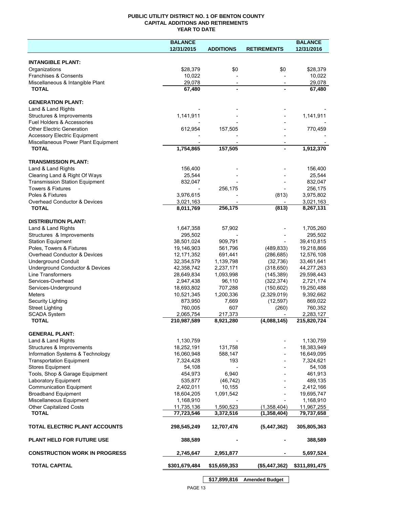## **PUBLIC UTILITY DISTRICT NO. 1 OF BENTON COUNTY CAPITAL ADDITIONS AND RETIREMENTS YEAR TO DATE**

|                                                         | <b>BALANCE</b>           |                          |                              | <b>BALANCE</b>           |
|---------------------------------------------------------|--------------------------|--------------------------|------------------------------|--------------------------|
|                                                         | 12/31/2015               | <b>ADDITIONS</b>         | <b>RETIREMENTS</b>           | 12/31/2016               |
|                                                         |                          |                          |                              |                          |
| <b>INTANGIBLE PLANT:</b>                                |                          |                          |                              |                          |
| Organizations                                           | \$28,379                 | \$0                      | \$0                          | \$28,379                 |
| Franchises & Consents                                   | 10,022                   |                          |                              | 10,022                   |
| Miscellaneous & Intangible Plant                        | 29,078                   | $\overline{\phantom{a}}$ | $\overline{\phantom{a}}$     | 29,078                   |
| <b>TOTAL</b>                                            | 67,480                   |                          |                              | 67,480                   |
|                                                         |                          |                          |                              |                          |
| <b>GENERATION PLANT:</b>                                |                          |                          |                              |                          |
| Land & Land Rights                                      |                          |                          |                              |                          |
| Structures & Improvements<br>Fuel Holders & Accessories | 1,141,911                |                          |                              | 1,141,911                |
| <b>Other Electric Generation</b>                        | 612,954                  | 157,505                  |                              | 770,459                  |
| <b>Accessory Electric Equipment</b>                     |                          |                          |                              |                          |
| Miscellaneous Power Plant Equipment                     |                          |                          |                              |                          |
| <b>TOTAL</b>                                            | 1,754,865                | 157,505                  |                              | 1,912,370                |
|                                                         |                          |                          |                              |                          |
| <b>TRANSMISSION PLANT:</b>                              |                          |                          |                              |                          |
| Land & Land Rights                                      | 156,400                  |                          |                              | 156,400                  |
| Clearing Land & Right Of Ways                           | 25,544                   |                          |                              | 25,544                   |
| <b>Transmission Station Equipment</b>                   | 832,047                  |                          |                              | 832,047                  |
| <b>Towers &amp; Fixtures</b>                            |                          | 256,175                  |                              | 256,175                  |
| Poles & Fixtures                                        | 3,976,615                |                          | (813)                        | 3,975,802                |
| Overhead Conductor & Devices                            | 3,021,163                |                          |                              | 3,021,163                |
| <b>TOTAL</b>                                            | 8,011,769                | 256,175                  | (813)                        | 8,267,131                |
| <b>DISTRIBUTION PLANT:</b>                              |                          |                          |                              |                          |
| Land & Land Rights                                      | 1,647,358                | 57,902                   |                              | 1,705,260                |
| Structures & Improvements                               | 295,502                  |                          |                              | 295,502                  |
| <b>Station Equipment</b>                                | 38,501,024               | 909,791                  |                              | 39,410,815               |
| Poles, Towers & Fixtures                                | 19,146,903               | 561,796                  | (489, 833)                   | 19,218,866               |
| Overhead Conductor & Devices                            | 12, 171, 352             | 691,441                  | (286, 685)                   | 12,576,108               |
| <b>Underground Conduit</b>                              | 32,354,579               | 1,139,798                | (32, 736)                    | 33,461,641               |
| Underground Conductor & Devices                         | 42,358,742               | 2,237,171                | (318, 650)                   | 44,277,263               |
| Line Transformers                                       | 28,649,834               | 1,093,998                | (145, 389)                   | 29,598,443               |
| Services-Overhead                                       | 2,947,438                | 96,110                   | (322, 374)                   | 2,721,174                |
| Services-Underground                                    | 18,693,802               | 707,288                  | (150, 602)                   | 19,250,488               |
| <b>Meters</b>                                           | 10,521,345               | 1,200,336                | (2,329,019)                  | 9,392,662                |
| Security Lighting                                       | 873,950                  | 7,669                    | (12, 597)                    | 869,022                  |
| <b>Street Lighting</b>                                  | 760,005                  | 607                      | (260)                        | 760,352                  |
| <b>SCADA System</b>                                     | 2,065,754                | 217,373                  |                              | 2,283,127                |
| <b>TOTAL</b>                                            | 210,987,589              | 8,921,280                | (4,088,145)                  | 215,820,724              |
|                                                         |                          |                          |                              |                          |
| <b>GENERAL PLANT:</b>                                   |                          |                          |                              |                          |
| Land & Land Rights                                      | 1,130,759                |                          |                              | 1,130,759                |
| Structures & Improvements                               | 18,252,191               | 131,758                  |                              | 18,383,949               |
| Information Systems & Technology                        | 16,060,948               | 588,147                  |                              | 16,649,095               |
| <b>Transportation Equipment</b>                         | 7,324,428                | 193                      |                              | 7,324,621                |
| <b>Stores Equipment</b>                                 | 54,108                   |                          |                              | 54,108                   |
| Tools, Shop & Garage Equipment                          | 454,973                  | 6,940                    |                              | 461,913                  |
| Laboratory Equipment                                    | 535,877                  | (46, 742)                |                              | 489,135                  |
| <b>Communication Equipment</b>                          | 2,402,011                | 10,155                   |                              | 2,412,166                |
| <b>Broadband Equipment</b>                              | 18,604,205               | 1,091,542                |                              | 19,695,747               |
| Miscellaneous Equipment                                 | 1,168,910                |                          |                              | 1,168,910                |
| <b>Other Capitalized Costs</b><br><b>TOTAL</b>          | 11,735,136<br>77,723,546 | 1,590,523<br>3,372,516   | (1,358,404)<br>(1, 358, 404) | 11,967,255<br>79,737,658 |
|                                                         |                          |                          |                              |                          |
| TOTAL ELECTRIC PLANT ACCOUNTS                           | 298,545,249              | 12,707,476               | (5,447,362)                  | 305,805,363              |
| <b>PLANT HELD FOR FUTURE USE</b>                        | 388,589                  |                          |                              | 388,589                  |
| <b>CONSTRUCTION WORK IN PROGRESS</b>                    | 2,745,647                | 2,951,877                |                              | 5,697,524                |
| <b>TOTAL CAPITAL</b>                                    | \$301,679,484            | \$15,659,353             | (\$5,447,362)                | \$311,891,475            |
|                                                         |                          |                          |                              |                          |

**\$17,899,816 Amended Budget**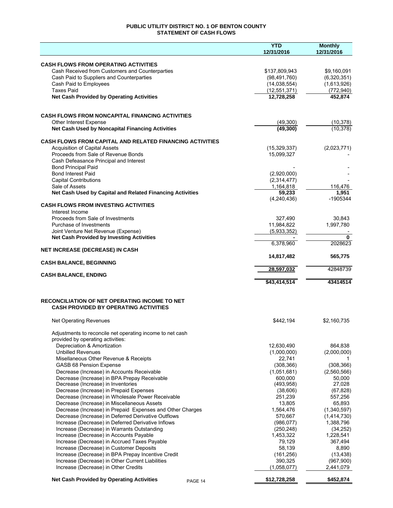## **PUBLIC UTILITY DISTRICT NO. 1 OF BENTON COUNTY STATEMENT OF CASH FLOWS**

|                                                                                                         | <b>YTD</b>            | <b>Monthly</b>       |
|---------------------------------------------------------------------------------------------------------|-----------------------|----------------------|
|                                                                                                         | 12/31/2016            | 12/31/2016           |
| <b>CASH FLOWS FROM OPERATING ACTIVITIES</b>                                                             |                       |                      |
| Cash Received from Customers and Counterparties                                                         | \$137,809,943         | \$9,160,091          |
| Cash Paid to Suppliers and Counterparties                                                               | (98, 491, 760)        | (6,320,351)          |
| Cash Paid to Employees                                                                                  | (14,038,554)          | (1,613,926)          |
| <b>Taxes Paid</b>                                                                                       | (12, 551, 371)        | (772, 940)           |
| <b>Net Cash Provided by Operating Activities</b>                                                        | 12,728,258            | 452,874              |
|                                                                                                         |                       |                      |
| <b>CASH FLOWS FROM NONCAPITAL FINANCING ACTIVITIES</b>                                                  |                       |                      |
| <b>Other Interest Expense</b>                                                                           | (49, 300)             | (10, 378)            |
| Net Cash Used by Noncapital Financing Activities                                                        | (49, 300)             | (10, 378)            |
|                                                                                                         |                       |                      |
| <b>CASH FLOWS FROM CAPITAL AND RELATED FINANCING ACTIVITIES</b><br><b>Acquisition of Capital Assets</b> | (15,329,337)          | (2,023,771)          |
| Proceeds from Sale of Revenue Bonds                                                                     | 15,099,327            |                      |
| Cash Defeasance Principal and Interest                                                                  |                       |                      |
| <b>Bond Principal Paid</b>                                                                              |                       |                      |
| <b>Bond Interest Paid</b>                                                                               | (2,920,000)           |                      |
| <b>Capital Contributions</b>                                                                            | (2,314,477)           |                      |
| Sale of Assets                                                                                          | 1,164,818             | 116,476              |
| Net Cash Used by Capital and Related Financing Activities                                               | 59,233                | 1,951                |
| <b>CASH FLOWS FROM INVESTING ACTIVITIES</b>                                                             | (4,240,436)           | -1905344             |
| Interest Income                                                                                         |                       |                      |
| Proceeds from Sale of Investments                                                                       | 327,490               | 30,843               |
| Purchase of Investments                                                                                 | 11,984,822            | 1,997,780            |
| Joint Venture Net Revenue (Expense)                                                                     | (5,933,352)           |                      |
| <b>Net Cash Provided by Investing Activities</b>                                                        |                       | $\bf{0}$             |
|                                                                                                         | 6,378,960             | 2028623              |
| <b>NET INCREASE (DECREASE) IN CASH</b>                                                                  | 14,817,482            | 565,775              |
| <b>CASH BALANCE, BEGINNING</b>                                                                          |                       |                      |
|                                                                                                         | 28,597,032            | 42848739             |
| <b>CASH BALANCE, ENDING</b>                                                                             |                       | 43414514             |
|                                                                                                         | \$43,414,514          |                      |
| RECONCILIATION OF NET OPERATING INCOME TO NET<br><b>CASH PROVIDED BY OPERATING ACTIVITIES</b>           |                       |                      |
| Net Operating Revenues                                                                                  | \$442,194             | \$2,160,735          |
| Adjustments to reconcile net operating income to net cash                                               |                       |                      |
| provided by operating activities:                                                                       |                       |                      |
| Depreciation & Amortization                                                                             | 12,630,490            | 864,838              |
| <b>Unbilled Revenues</b>                                                                                | (1,000,000)           | (2,000,000)          |
| Misellaneous Other Revenue & Receipts                                                                   | 22,741                |                      |
| <b>GASB 68 Pension Expense</b>                                                                          | (308, 366)            | (308, 366)           |
| Decrease (Increase) in Accounts Receivable                                                              | (1,051,681)           | (2,560,566)          |
| Decrease (Increase) in BPA Prepay Receivable<br>Decrease (Increase) in Inventories                      | 600,000<br>(493, 958) | 50,000<br>27,028     |
| Decrease (Increase) in Prepaid Expenses                                                                 | (38,606)              | (67, 828)            |
| Decrease (Increase) in Wholesale Power Receivable                                                       | 251,239               | 557,256              |
| Decrease (Increase) in Miscellaneous Assets                                                             | 13,805                | 65,893               |
| Decrease (Increase) in Prepaid Expenses and Other Charges                                               | 1,564,476             | (1,340,597)          |
| Decrease (Increase) in Deferred Derivative Outflows                                                     | 570,667               | (1,414,730)          |
| Increase (Decrease) in Deferred Derivative Inflows                                                      | (986, 077)            | 1,388,796            |
| Increase (Decrease) in Warrants Outstanding                                                             | (250, 248)            | (34, 252)            |
| Increase (Decrease) in Accounts Payable                                                                 | 1,453,322<br>79,129   | 1,228,541<br>367,494 |
| Increase (Decrease) in Accrued Taxes Payable<br>Increase (Decrease) in Customer Deposits                | 58,139                | 8,890                |
| Increase (Decrease) in BPA Prepay Incentive Credit                                                      | (161, 256)            | (13, 438)            |
| Increase (Decrease) in Other Current Liabilities                                                        | 390,325               | (967,900)            |
| Increase (Decrease) in Other Credits                                                                    | (1,058,077)           | 2,441,079            |
| <b>Net Cash Provided by Operating Activities</b><br>PAGE 14                                             | \$12,728,258          | \$452,874            |
|                                                                                                         |                       |                      |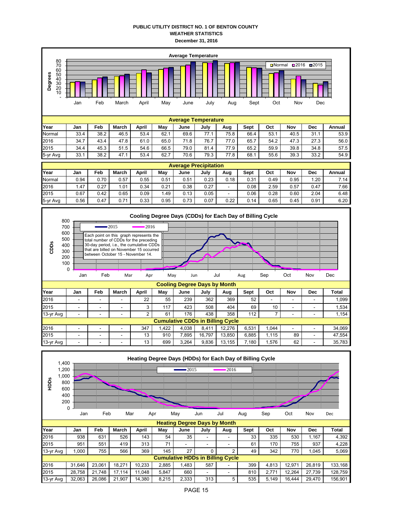## **PUBLIC UTILITY DISTRICT NO. 1 OF BENTON COUNTY WEATHER STATISTICS December 31, 2016**

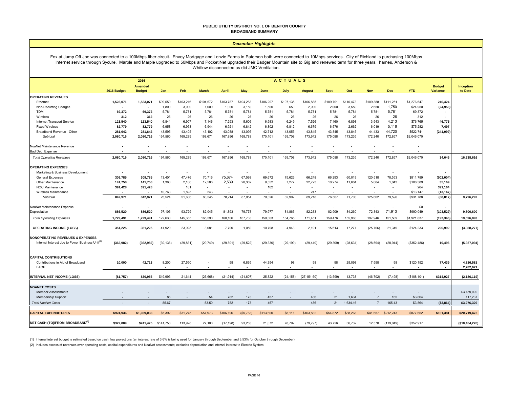#### **PUBLIC UTILITY DISTRICT NO. 1 OF BENTON COUNTY BROADBAND SUMMARY**

#### *December Highlights*

Fox at Jump Off Joe was connected to a 100Mbps fiber circuit. Envoy Mortgage and Lenzie Farms in Paterson both were connected to 10Mbps services. City of Richland is purchasing 100Mbps Internet service through Sycure. Marple and Marple upgraded to 50Mbps and PocketiNet upgraded their Badger Mountain site to Gig and renewed term for three years. hames, Anderson & Whitlow disconnected as did JMC Ventilation.

|                                                             |                          | <b>ACTUALS</b><br>2016          |           |                          |                          |              |            |           |                          |               |             |                          |                |            |              |                                  |                      |
|-------------------------------------------------------------|--------------------------|---------------------------------|-----------|--------------------------|--------------------------|--------------|------------|-----------|--------------------------|---------------|-------------|--------------------------|----------------|------------|--------------|----------------------------------|----------------------|
|                                                             | 2016 Budget              | <b>Amended</b><br><b>Budget</b> | Jan       | Feb                      | <b>March</b>             | <b>April</b> | May        | June      | July                     | <b>August</b> | <b>Sept</b> | Oct                      | <b>Nov</b>     | <b>Dec</b> | <b>YTD</b>   | <b>Budget</b><br><b>Variance</b> | Inception<br>to Date |
| <b>OPERATING REVENUES</b>                                   |                          |                                 |           |                          |                          |              |            |           |                          |               |             |                          |                |            |              |                                  |                      |
| Ethernet                                                    | 1,523,071                | 1.523.071                       | \$99,559  | \$103,216                | \$104,672                | \$103,787    | \$104,283  | \$106,297 | \$107,135                | \$106,885     | \$109,701   | \$110,473                | \$109,388      | \$111,251  | \$1,276,647  | 246,424                          |                      |
| Non-Recurring Charges                                       |                          | $\blacksquare$                  | 1,800     | 3,000                    | 1,000                    | 1,000        | 3,150      | 1,500     | 650                      | 2,900         | 2,000       | 3,550                    | 2,650          | 1,750      | \$24,950     | (24, 950)                        |                      |
| <b>TDM</b>                                                  | 69,372                   | 69,372                          | 5,781     | 5,781                    | 5,781                    | 5,781        | 5,781      | 5,781     | 5,781                    | 5,781         | 5,781       | 5,781                    | 5,781          | 5,781      | 69,372       |                                  |                      |
| Wireless                                                    | 312                      | 312                             | 26        | 26                       | 26                       | 26           | 26         | 26        | 26                       | 26            | 26          | 26                       | 26             | 26         | 312          |                                  |                      |
| Internet Transport Service                                  | 123,540                  | 123,540                         | 6,841     | 6,907                    | 7,146                    | 7,293        | 5,606      | 6,983     | 6,249                    | 7,526         | 7,160       | 6,898                    | 3,943          | 4,213      | \$76,765     | 46,775                           |                      |
| <b>Fixed Wireless</b>                                       | 82,779                   | 82,779                          | 6,958     | 6,953                    | 6,944                    | 6,921        | 6,842      | 6,802     | 6,812                    | 6,679         | 6,576       | 2,662                    | 6,019          | 5,116      | \$75,282     | 7,497                            |                      |
| Broadband Revenue - Other                                   | 281,642                  | 281.642                         | 43,595    | 43,405                   | 43,102                   | 43.088       | 43,095     | 42,712    | 43.055                   | 43,845        | 43,845      | 43.845                   | 44.433         | 44,720     | \$522,741    | (241,099                         |                      |
| Subtotal                                                    | 2,080,716                | 2,080,716                       | 164,560   | 169,289                  | 168,671                  | 167,896      | 168,783    | 170,101   | 169,708                  | 173,642       | 175,088     | 173,235                  | 172,240        | 172,857    | \$2,046,070  |                                  |                      |
| NoaNet Maintenance Revenue                                  |                          |                                 |           | ٠                        |                          |              |            |           |                          |               |             |                          |                |            |              |                                  |                      |
| <b>Bad Debt Expense</b>                                     |                          |                                 |           |                          |                          |              |            |           |                          |               |             |                          |                |            |              |                                  |                      |
| <b>Total Operating Revenues</b>                             | 2,080,716                | 2,080,716                       | 164,560   | 169,289                  | 168,671                  | 167,896      | 168,783    | 170,101   | 169,708                  | 173,642       | 175,088     | 173,235                  | 172,240        | 172,857    | \$2,046,070  | 34,646                           | 16,238,616           |
| <b>OPERATING EXPENSES</b>                                   |                          |                                 |           |                          |                          |              |            |           |                          |               |             |                          |                |            |              |                                  |                      |
| Marketing & Business Development                            |                          |                                 |           | $\blacksquare$           |                          |              | $\sim$     | $\sim$    | $\tilde{\phantom{a}}$    | $\sim$        | $\sim$      |                          |                | $\sim$     |              |                                  |                      |
| General Expenses                                            | 309,785                  | 309,785                         | 13,401    | 47,476                   | 70,716                   | 75,674       | 67,593     | 69,672    | 75,626                   | 66,248        | 66,293      | 60,019                   | 120,518        | 78,553     | \$811,789    | (502, 004)                       |                      |
| Other Maintenance                                           | 141,758                  | 141,758                         | 1,360     | 2,106                    | 12,586                   | 2,539        | 20,362     | 9,552     | 7,277                    | 22,723        | 10,274      | 11,684                   | 5,084          | 1,043      | \$106,589    | 35,169                           |                      |
| <b>NOC Maintenance</b>                                      | 391,428                  | 391,428                         |           | 161                      | $\overline{\phantom{a}}$ |              | $\sim$     | 102       | $\overline{\phantom{a}}$ | $\sim$        | $\sim$      | $\overline{\phantom{a}}$ |                | $\sim$     | 264          | 391,164                          |                      |
| Wireless Maintenance                                        |                          |                                 | 10,763    | 1,893                    | 243                      |              |            |           | $\sim$                   | 247           |             |                          |                |            | \$13,147     | (13, 147)                        |                      |
| Subtotal                                                    | 842,971                  | 842,971                         | 25,524    | 51,636                   | 83,545                   | 78,214       | 87,954     | 79,326    | 82,902                   | 89,218        | 76,567      | 71,703                   | 125,602        | 79,596     | \$931,788    | (88, 817)                        | 9,796,292            |
| NoaNet Maintenance Expense                                  | $\overline{\phantom{a}}$ |                                 |           | $\sim$                   |                          |              |            |           |                          |               |             |                          |                |            | \$0          |                                  |                      |
| Depreciation                                                | 886,520                  | 886,520                         | 97,106    | 93,729                   | 82,045                   | 81,893       | 79,778     | 79,977    | 81,863                   | 82,233        | 82,909      | 84,260                   | 72,343         | 71,913     | \$990,049    | (103,529                         | 9,800,600            |
| <b>Total Operating Expenses</b>                             | 1,729,491                | 1,729,491                       | 122,630   | 145,365                  | 165,590                  | 160,106      | 167,733    | 159,303   | 164,765                  | 171,451       | 159,476     | 155,963                  | 197.946        | 151,509    | \$1,921,837  | (192, 346)                       | 19,596,893           |
| <b>OPERATING INCOME (LOSS)</b>                              | 351,225                  | 351.225                         | 41,929    | 23,925                   | 3,081                    | 7,790        | 1,050      | 10,798    | 4,943                    | 2,191         | 15,613      | 17,271                   | (25, 706)      | 21,349     | \$124,233    | 226,992                          | (3,358,277)          |
| <b>NONOPERATING REVENUES &amp; EXPENSES</b>                 |                          |                                 |           |                          |                          |              |            |           |                          |               |             |                          |                |            |              |                                  |                      |
| Internal Interest due to Power Business Unit <sup>(1)</sup> | (362, 982)               | (362, 982)                      | (30, 136) | (29, 831)                | (29, 749)                | (29, 801)    | (29, 522)  | (29, 330) | (29, 199)                | (29, 440)     | (29, 309)   | (28, 631)                | (28, 594)      | (28, 944)  | (\$352,486)  | 10,496                           | (5,927,094)          |
| <b>CAPITAL CONTRIBUTIONS</b>                                |                          |                                 |           |                          |                          |              |            |           |                          |               |             |                          |                |            |              |                                  |                      |
| Contributions in Aid of Broadband                           | 10,000                   | 42,713                          | 8,200     | 27,550                   |                          | 98           | 6,865      | 44,354    | 98                       | 98            | 98          | 25,098                   | 7,598          | 98         | \$120,152    | 77,439                           | 4,816,581            |
| <b>BTOP</b>                                                 |                          |                                 |           |                          |                          |              |            |           |                          |               |             |                          |                |            |              |                                  | 2,282,671            |
| <b>INTERNAL NET INCOME (LOSS)</b>                           | (\$1,757)                | \$30,956                        | \$19,993  | 21.644                   | (26, 668)                | (21, 914)    | (21, 607)  | 25,822    | (24, 158)                | (27, 151.60)  | (13, 599)   | 13,738                   | (46, 702)      | (7, 498)   | (\$108, 101) | \$314,927                        | (2, 186, 119)        |
|                                                             |                          |                                 |           |                          |                          |              |            |           |                          |               |             |                          |                |            |              |                                  |                      |
| <b>NOANET COSTS</b>                                         |                          |                                 |           |                          |                          |              |            |           |                          |               |             |                          |                |            |              |                                  |                      |
| <b>Member Assessments</b>                                   |                          |                                 |           |                          |                          |              |            |           |                          |               |             |                          |                |            |              |                                  | \$3,159,092          |
| Membership Support                                          |                          |                                 | 86        | $\sim$                   | 54                       | 782          | 173        | 457       |                          | 486           | 21          | 1,634                    |                | 165        | \$3,864      |                                  | 117,237              |
| <b>Total NoaNet Costs</b>                                   |                          |                                 | 85.67     | $\overline{\phantom{a}}$ | 53.50                    | 782          | 173        | 457       | $\sim$                   | 486           | 21          | 1,634.16                 | $\overline{7}$ | 165.43     | \$3,864      | ( \$3,864]                       | \$3,276,329          |
| <b>CAPITAL EXPENDITURES</b>                                 | \$924,936                | \$1,039,033                     | \$5,392   | \$31,275                 | \$57,973                 | \$106,196    | ( \$5,763) | \$113,600 | \$8,111                  | \$163,832     | \$54,872    | \$88,263                 | \$41,657       | \$212,243  | \$877,652    | \$161,381                        | \$20,719,472         |
| NET CASH (TO)/FROM BROADBAND <sup>(2)</sup>                 | \$322,809                | \$241,425                       | \$141,758 | 113,928                  | 27,100                   | (17, 198)    | 93,283     | 21,072    | 78,792                   | (79, 797)     | 43,726      | 36,732                   | 12,570         | (119, 049) | \$352,917    |                                  | (\$10,454,226)       |

(1) Internal interest budget is estimated based on cash flow projections (an interest rate of 3.6% is being used for January through September and 3.53% for October through December).

(2) Includes excess of revenues over operating costs, capital expenditures and NoaNet assessments; excludes depreciation and internal interest to Electric System